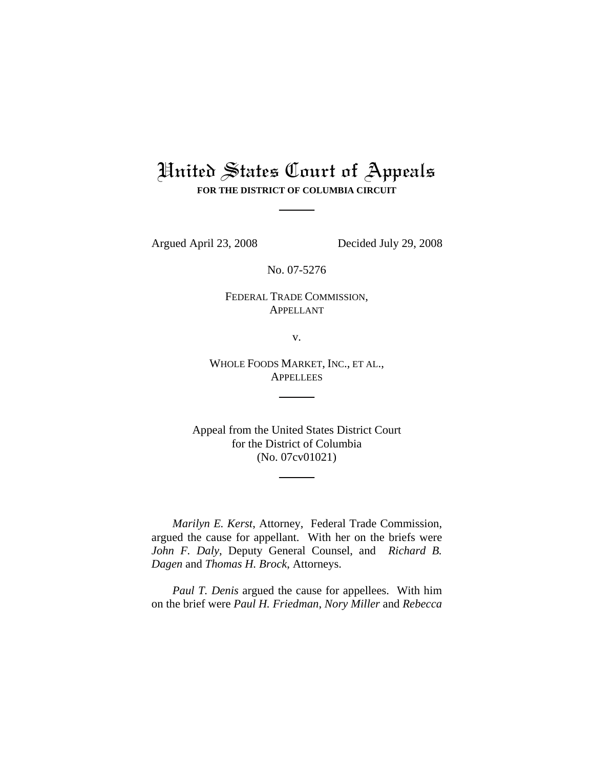# United States Court of Appeals **FOR THE DISTRICT OF COLUMBIA CIRCUIT**

Argued April 23, 2008 Decided July 29, 2008

No. 07-5276

FEDERAL TRADE COMMISSION, APPELLANT

v.

WHOLE FOODS MARKET, INC., ET AL., **APPELLEES** 

Appeal from the United States District Court for the District of Columbia (No. 07cv01021)

 *Marilyn E. Kerst*, Attorney, Federal Trade Commission, argued the cause for appellant. With her on the briefs were *John F. Daly*, Deputy General Counsel, and *Richard B. Dagen* and *Thomas H. Brock*, Attorneys.

*Paul T. Denis* argued the cause for appellees. With him on the brief were *Paul H. Friedman*, *Nory Miller* and *Rebecca*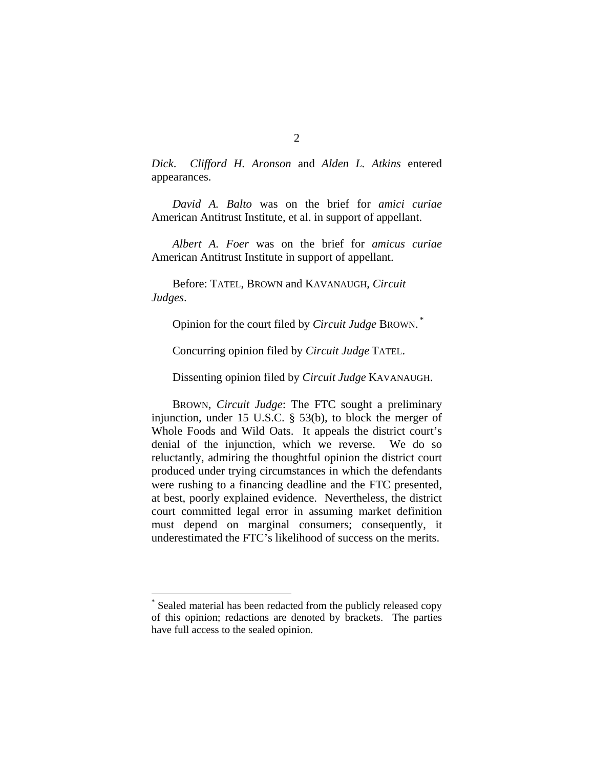*Dick*. *Clifford H. Aronson* and *Alden L. Atkins* entered appearances.

*David A. Balto* was on the brief for *amici curiae* American Antitrust Institute, et al. in support of appellant.

 *Albert A. Foer* was on the brief for *amicus curiae* American Antitrust Institute in support of appellant.

 Before: TATEL, BROWN and KAVANAUGH, *Circuit Judges*.

Opinion for the court filed by *Circuit Judge* BROWN. \*

Concurring opinion filed by *Circuit Judge* TATEL.

Dissenting opinion filed by *Circuit Judge* KAVANAUGH.

 BROWN, *Circuit Judge*: The FTC sought a preliminary injunction, under 15 U.S.C. § 53(b), to block the merger of Whole Foods and Wild Oats. It appeals the district court's denial of the injunction, which we reverse. We do so reluctantly, admiring the thoughtful opinion the district court produced under trying circumstances in which the defendants were rushing to a financing deadline and the FTC presented, at best, poorly explained evidence. Nevertheless, the district court committed legal error in assuming market definition must depend on marginal consumers; consequently, it underestimated the FTC's likelihood of success on the merits.

 $\overline{a}$ 

<sup>\*</sup> Sealed material has been redacted from the publicly released copy of this opinion; redactions are denoted by brackets. The parties have full access to the sealed opinion.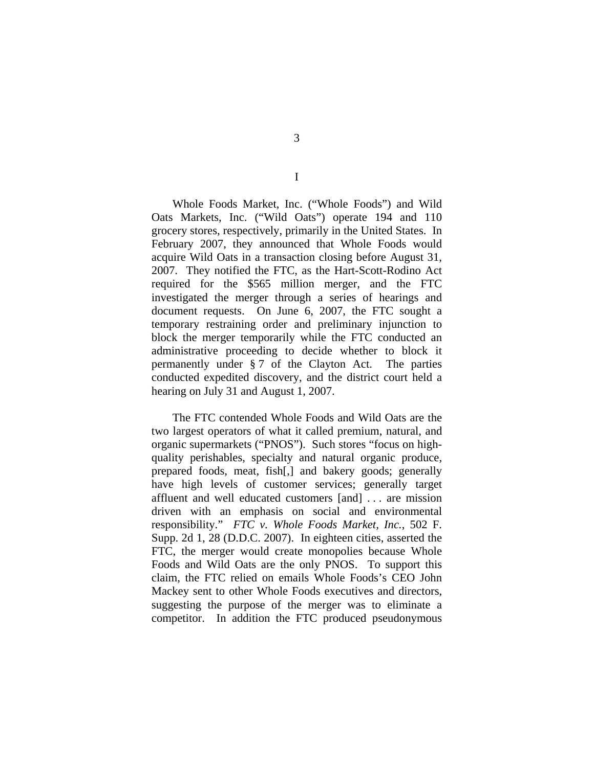Whole Foods Market, Inc. ("Whole Foods") and Wild Oats Markets, Inc. ("Wild Oats") operate 194 and 110 grocery stores, respectively, primarily in the United States. In February 2007, they announced that Whole Foods would acquire Wild Oats in a transaction closing before August 31, 2007. They notified the FTC, as the Hart-Scott-Rodino Act required for the \$565 million merger, and the FTC investigated the merger through a series of hearings and document requests. On June 6, 2007, the FTC sought a temporary restraining order and preliminary injunction to block the merger temporarily while the FTC conducted an administrative proceeding to decide whether to block it permanently under § 7 of the Clayton Act. The parties conducted expedited discovery, and the district court held a hearing on July 31 and August 1, 2007.

 The FTC contended Whole Foods and Wild Oats are the two largest operators of what it called premium, natural, and organic supermarkets ("PNOS"). Such stores "focus on highquality perishables, specialty and natural organic produce, prepared foods, meat, fish[,] and bakery goods; generally have high levels of customer services; generally target affluent and well educated customers [and] . . . are mission driven with an emphasis on social and environmental responsibility." *FTC v. Whole Foods Market, Inc.*, 502 F. Supp. 2d 1, 28 (D.D.C. 2007). In eighteen cities, asserted the FTC, the merger would create monopolies because Whole Foods and Wild Oats are the only PNOS. To support this claim, the FTC relied on emails Whole Foods's CEO John Mackey sent to other Whole Foods executives and directors, suggesting the purpose of the merger was to eliminate a competitor. In addition the FTC produced pseudonymous

I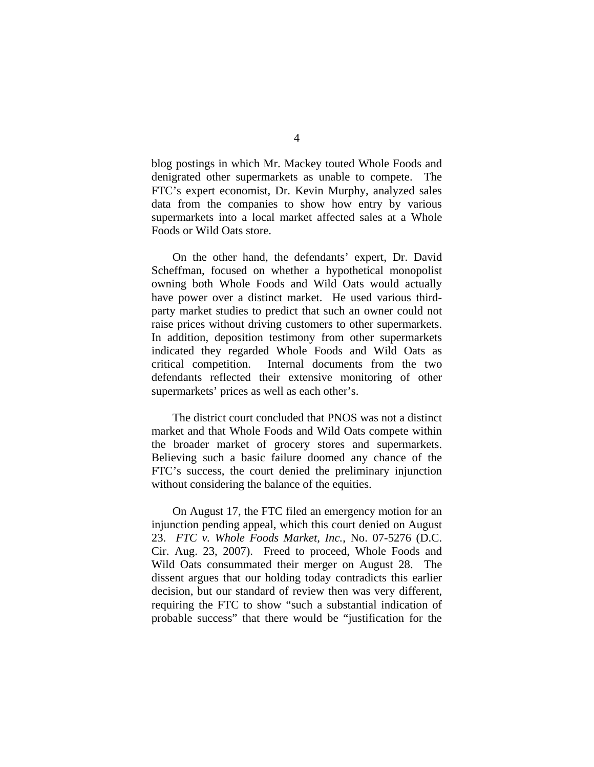blog postings in which Mr. Mackey touted Whole Foods and denigrated other supermarkets as unable to compete. The FTC's expert economist, Dr. Kevin Murphy, analyzed sales data from the companies to show how entry by various supermarkets into a local market affected sales at a Whole Foods or Wild Oats store.

 On the other hand, the defendants' expert, Dr. David Scheffman, focused on whether a hypothetical monopolist owning both Whole Foods and Wild Oats would actually have power over a distinct market. He used various thirdparty market studies to predict that such an owner could not raise prices without driving customers to other supermarkets. In addition, deposition testimony from other supermarkets indicated they regarded Whole Foods and Wild Oats as critical competition. Internal documents from the two defendants reflected their extensive monitoring of other supermarkets' prices as well as each other's.

 The district court concluded that PNOS was not a distinct market and that Whole Foods and Wild Oats compete within the broader market of grocery stores and supermarkets. Believing such a basic failure doomed any chance of the FTC's success, the court denied the preliminary injunction without considering the balance of the equities.

 On August 17, the FTC filed an emergency motion for an injunction pending appeal, which this court denied on August 23. *FTC v. Whole Foods Market, Inc.*, No. 07-5276 (D.C. Cir. Aug. 23, 2007). Freed to proceed, Whole Foods and Wild Oats consummated their merger on August 28. The dissent argues that our holding today contradicts this earlier decision, but our standard of review then was very different, requiring the FTC to show "such a substantial indication of probable success" that there would be "justification for the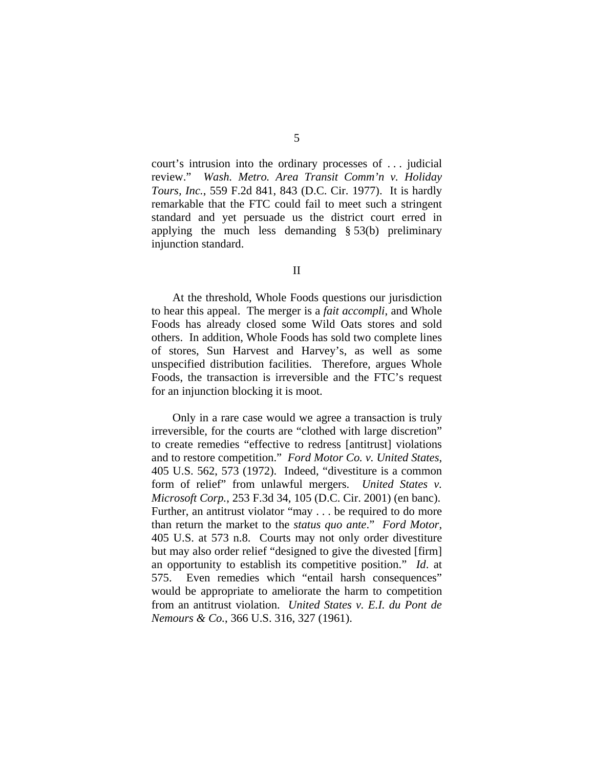court's intrusion into the ordinary processes of . . . judicial review." *Wash. Metro. Area Transit Comm'n v. Holiday Tours, Inc.*, 559 F.2d 841, 843 (D.C. Cir. 1977). It is hardly remarkable that the FTC could fail to meet such a stringent standard and yet persuade us the district court erred in applying the much less demanding § 53(b) preliminary injunction standard.

 At the threshold, Whole Foods questions our jurisdiction to hear this appeal. The merger is a *fait accompli*, and Whole Foods has already closed some Wild Oats stores and sold others. In addition, Whole Foods has sold two complete lines of stores, Sun Harvest and Harvey's, as well as some unspecified distribution facilities. Therefore, argues Whole Foods, the transaction is irreversible and the FTC's request for an injunction blocking it is moot.

 Only in a rare case would we agree a transaction is truly irreversible, for the courts are "clothed with large discretion" to create remedies "effective to redress [antitrust] violations and to restore competition." *Ford Motor Co. v. United States*, 405 U.S. 562, 573 (1972). Indeed, "divestiture is a common form of relief" from unlawful mergers. *United States v. Microsoft Corp.*, 253 F.3d 34, 105 (D.C. Cir. 2001) (en banc). Further, an antitrust violator "may . . . be required to do more than return the market to the *status quo ante*." *Ford Motor*, 405 U.S. at 573 n.8. Courts may not only order divestiture but may also order relief "designed to give the divested [firm] an opportunity to establish its competitive position." *Id*. at 575. Even remedies which "entail harsh consequences" would be appropriate to ameliorate the harm to competition from an antitrust violation. *United States v. E.I. du Pont de Nemours & Co.*, 366 U.S. 316, 327 (1961).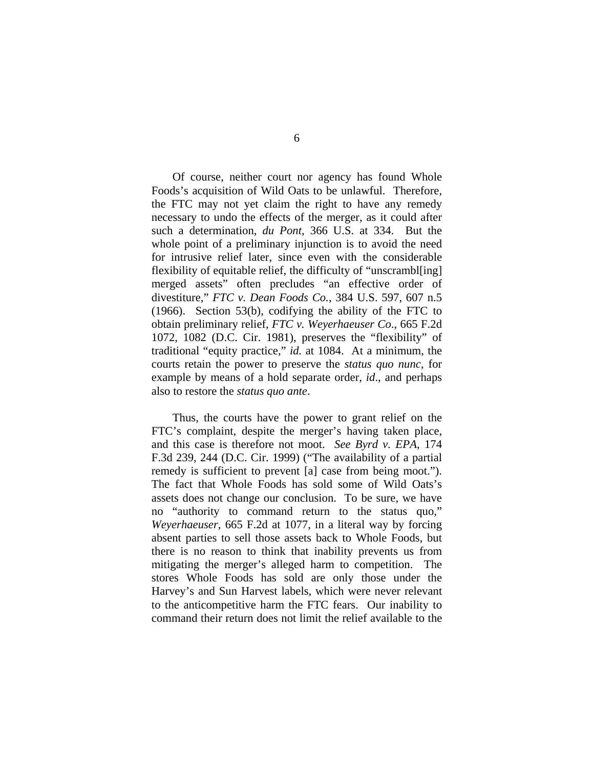Of course, neither court nor agency has found Whole Foods's acquisition of Wild Oats to be unlawful. Therefore, the FTC may not yet claim the right to have any remedy necessary to undo the effects of the merger, as it could after such a determination, *du Pont*, 366 U.S. at 334. But the whole point of a preliminary injunction is to avoid the need for intrusive relief later, since even with the considerable flexibility of equitable relief, the difficulty of "unscrambl[ing] merged assets" often precludes "an effective order of divestiture," *FTC v. Dean Foods Co.*, 384 U.S. 597, 607 n.5 (1966). Section 53(b), codifying the ability of the FTC to obtain preliminary relief, *FTC v. Weyerhaeuser Co*., 665 F.2d 1072, 1082 (D.C. Cir. 1981), preserves the "flexibility" of traditional "equity practice," *id.* at 1084. At a minimum, the courts retain the power to preserve the *status quo nunc*, for example by means of a hold separate order, *id*., and perhaps also to restore the *status quo ante*.

 Thus, the courts have the power to grant relief on the FTC's complaint, despite the merger's having taken place, and this case is therefore not moot. *See Byrd v. EPA*, 174 F.3d 239, 244 (D.C. Cir. 1999) ("The availability of a partial remedy is sufficient to prevent [a] case from being moot."). The fact that Whole Foods has sold some of Wild Oats's assets does not change our conclusion. To be sure, we have no "authority to command return to the status quo," *Weyerhaeuser*, 665 F.2d at 1077, in a literal way by forcing absent parties to sell those assets back to Whole Foods, but there is no reason to think that inability prevents us from mitigating the merger's alleged harm to competition. The stores Whole Foods has sold are only those under the Harvey's and Sun Harvest labels, which were never relevant to the anticompetitive harm the FTC fears. Our inability to command their return does not limit the relief available to the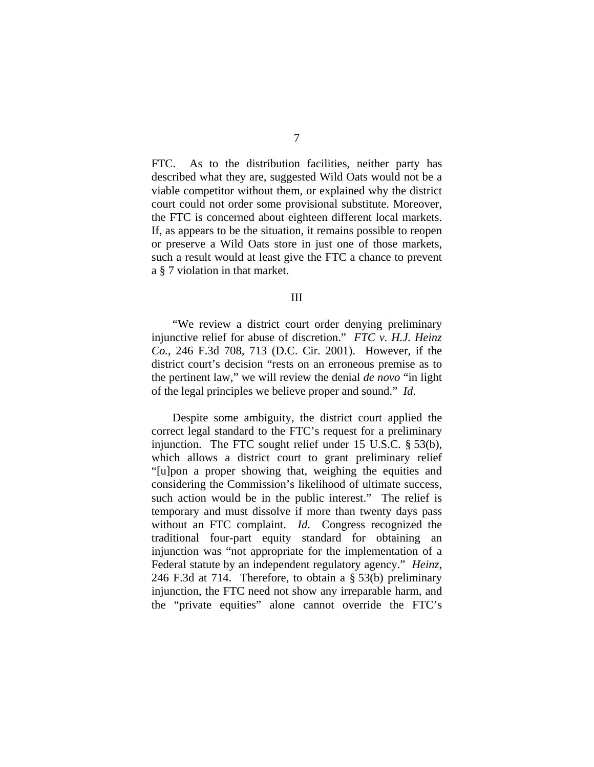FTC. As to the distribution facilities, neither party has described what they are, suggested Wild Oats would not be a viable competitor without them, or explained why the district court could not order some provisional substitute. Moreover, the FTC is concerned about eighteen different local markets. If, as appears to be the situation, it remains possible to reopen or preserve a Wild Oats store in just one of those markets, such a result would at least give the FTC a chance to prevent a § 7 violation in that market.

#### III

 "We review a district court order denying preliminary injunctive relief for abuse of discretion." *FTC v. H.J. Heinz Co.*, 246 F.3d 708, 713 (D.C. Cir. 2001). However, if the district court's decision "rests on an erroneous premise as to the pertinent law," we will review the denial *de novo* "in light of the legal principles we believe proper and sound." *Id*.

 Despite some ambiguity, the district court applied the correct legal standard to the FTC's request for a preliminary injunction. The FTC sought relief under 15 U.S.C. § 53(b), which allows a district court to grant preliminary relief "[u]pon a proper showing that, weighing the equities and considering the Commission's likelihood of ultimate success, such action would be in the public interest." The relief is temporary and must dissolve if more than twenty days pass without an FTC complaint. *Id*. Congress recognized the traditional four-part equity standard for obtaining an injunction was "not appropriate for the implementation of a Federal statute by an independent regulatory agency." *Heinz*, 246 F.3d at 714. Therefore, to obtain a § 53(b) preliminary injunction, the FTC need not show any irreparable harm, and the "private equities" alone cannot override the FTC's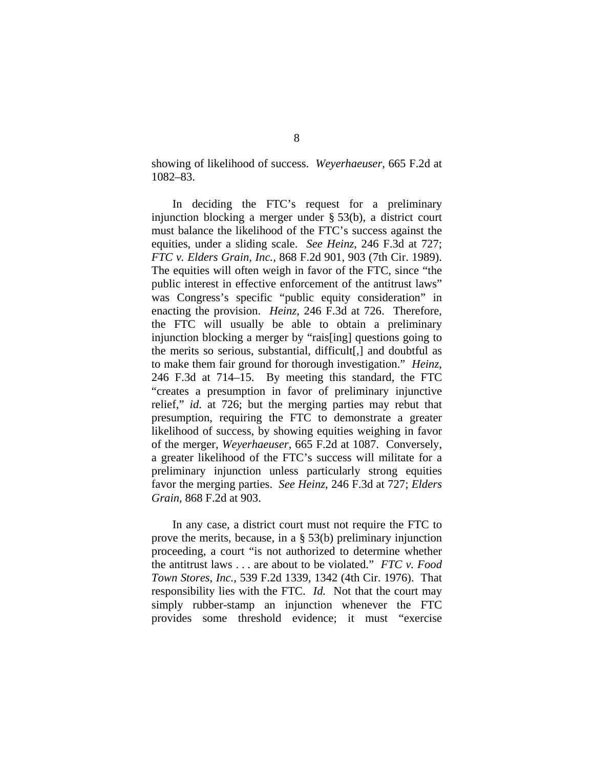showing of likelihood of success. *Weyerhaeuser*, 665 F.2d at 1082–83.

 In deciding the FTC's request for a preliminary injunction blocking a merger under § 53(b), a district court must balance the likelihood of the FTC's success against the equities, under a sliding scale. *See Heinz*, 246 F.3d at 727; *FTC v. Elders Grain, Inc.*, 868 F.2d 901, 903 (7th Cir. 1989). The equities will often weigh in favor of the FTC, since "the public interest in effective enforcement of the antitrust laws" was Congress's specific "public equity consideration" in enacting the provision. *Heinz*, 246 F.3d at 726. Therefore, the FTC will usually be able to obtain a preliminary injunction blocking a merger by "rais[ing] questions going to the merits so serious, substantial, difficult[,] and doubtful as to make them fair ground for thorough investigation." *Heinz*, 246 F.3d at 714–15. By meeting this standard, the FTC "creates a presumption in favor of preliminary injunctive relief," *id*. at 726; but the merging parties may rebut that presumption, requiring the FTC to demonstrate a greater likelihood of success, by showing equities weighing in favor of the merger, *Weyerhaeuser*, 665 F.2d at 1087. Conversely, a greater likelihood of the FTC's success will militate for a preliminary injunction unless particularly strong equities favor the merging parties. *See Heinz*, 246 F.3d at 727; *Elders Grain,* 868 F.2d at 903.

 In any case, a district court must not require the FTC to prove the merits, because, in a § 53(b) preliminary injunction proceeding, a court "is not authorized to determine whether the antitrust laws . . . are about to be violated." *FTC v. Food Town Stores, Inc.*, 539 F.2d 1339, 1342 (4th Cir. 1976). That responsibility lies with the FTC. *Id.* Not that the court may simply rubber-stamp an injunction whenever the FTC provides some threshold evidence; it must "exercise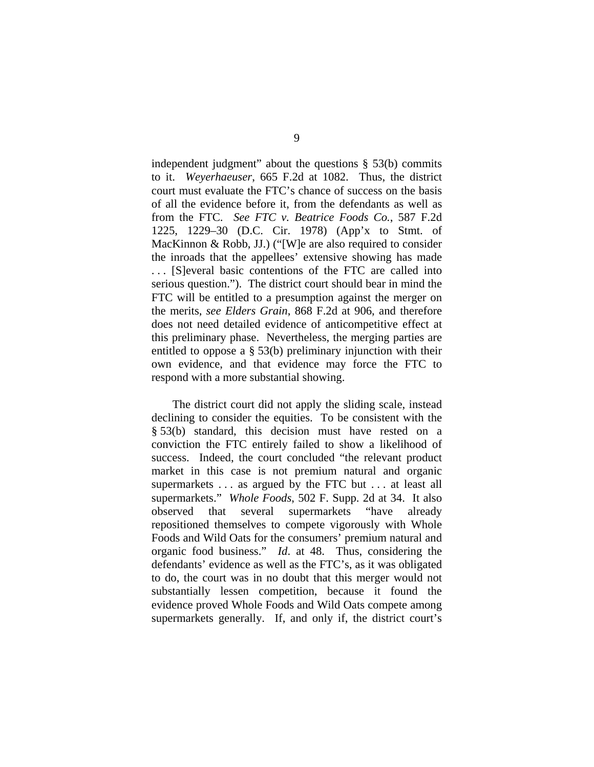independent judgment" about the questions  $\S$  53(b) commits to it. *Weyerhaeuser*, 665 F.2d at 1082. Thus, the district court must evaluate the FTC's chance of success on the basis of all the evidence before it, from the defendants as well as from the FTC. *See FTC v. Beatrice Foods Co.*, 587 F.2d 1225, 1229–30 (D.C. Cir. 1978) (App'x to Stmt. of MacKinnon & Robb, JJ.) ("[W]e are also required to consider the inroads that the appellees' extensive showing has made . . . [S]everal basic contentions of the FTC are called into serious question."). The district court should bear in mind the FTC will be entitled to a presumption against the merger on the merits, *see Elders Grain*, 868 F.2d at 906, and therefore does not need detailed evidence of anticompetitive effect at this preliminary phase. Nevertheless, the merging parties are entitled to oppose a § 53(b) preliminary injunction with their own evidence, and that evidence may force the FTC to respond with a more substantial showing.

 The district court did not apply the sliding scale, instead declining to consider the equities. To be consistent with the § 53(b) standard, this decision must have rested on a conviction the FTC entirely failed to show a likelihood of success. Indeed, the court concluded "the relevant product market in this case is not premium natural and organic supermarkets ... as argued by the FTC but ... at least all supermarkets." *Whole Foods*, 502 F. Supp. 2d at 34. It also observed that several supermarkets "have already repositioned themselves to compete vigorously with Whole Foods and Wild Oats for the consumers' premium natural and organic food business." *Id*. at 48. Thus, considering the defendants' evidence as well as the FTC's, as it was obligated to do, the court was in no doubt that this merger would not substantially lessen competition, because it found the evidence proved Whole Foods and Wild Oats compete among supermarkets generally. If, and only if, the district court's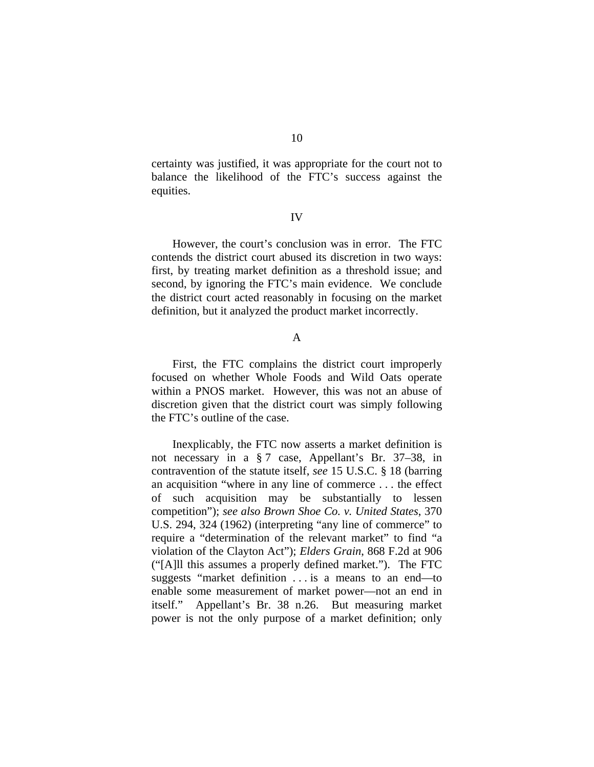certainty was justified, it was appropriate for the court not to balance the likelihood of the FTC's success against the equities.

#### IV

 However, the court's conclusion was in error. The FTC contends the district court abused its discretion in two ways: first, by treating market definition as a threshold issue; and second, by ignoring the FTC's main evidence. We conclude the district court acted reasonably in focusing on the market definition, but it analyzed the product market incorrectly.

#### A

 First, the FTC complains the district court improperly focused on whether Whole Foods and Wild Oats operate within a PNOS market. However, this was not an abuse of discretion given that the district court was simply following the FTC's outline of the case.

 Inexplicably, the FTC now asserts a market definition is not necessary in a § 7 case, Appellant's Br. 37–38, in contravention of the statute itself, *see* 15 U.S.C. § 18 (barring an acquisition "where in any line of commerce . . . the effect of such acquisition may be substantially to lessen competition"); *see also Brown Shoe Co. v. United States*, 370 U.S. 294, 324 (1962) (interpreting "any line of commerce" to require a "determination of the relevant market" to find "a violation of the Clayton Act"); *Elders Grain*, 868 F.2d at 906 ("[A]ll this assumes a properly defined market."). The FTC suggests "market definition . . . is a means to an end—to enable some measurement of market power—not an end in itself." Appellant's Br. 38 n.26. But measuring market power is not the only purpose of a market definition; only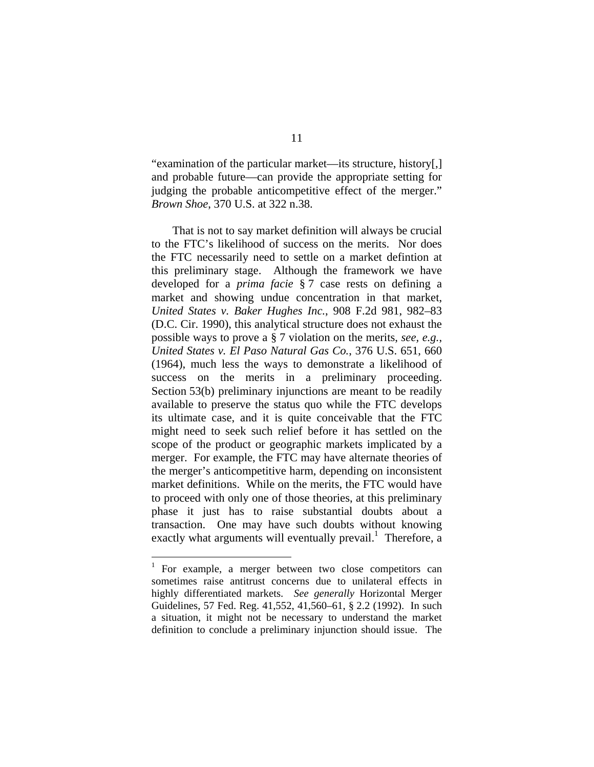"examination of the particular market—its structure, history[,] and probable future—can provide the appropriate setting for judging the probable anticompetitive effect of the merger." *Brown Shoe*, 370 U.S. at 322 n.38.

 That is not to say market definition will always be crucial to the FTC's likelihood of success on the merits. Nor does the FTC necessarily need to settle on a market defintion at this preliminary stage. Although the framework we have developed for a *prima facie* § 7 case rests on defining a market and showing undue concentration in that market, *United States v. Baker Hughes Inc.*, 908 F.2d 981, 982–83 (D.C. Cir. 1990), this analytical structure does not exhaust the possible ways to prove a § 7 violation on the merits, *see, e.g.*, *United States v. El Paso Natural Gas Co.*, 376 U.S. 651, 660 (1964), much less the ways to demonstrate a likelihood of success on the merits in a preliminary proceeding. Section 53(b) preliminary injunctions are meant to be readily available to preserve the status quo while the FTC develops its ultimate case, and it is quite conceivable that the FTC might need to seek such relief before it has settled on the scope of the product or geographic markets implicated by a merger. For example, the FTC may have alternate theories of the merger's anticompetitive harm, depending on inconsistent market definitions. While on the merits, the FTC would have to proceed with only one of those theories, at this preliminary phase it just has to raise substantial doubts about a transaction. One may have such doubts without knowing exactly what arguments will eventually prevail.<sup>1</sup> Therefore, a

 $\overline{a}$ 

<sup>1</sup> For example, a merger between two close competitors can sometimes raise antitrust concerns due to unilateral effects in highly differentiated markets. *See generally* Horizontal Merger Guidelines, 57 Fed. Reg. 41,552, 41,560–61, § 2.2 (1992). In such a situation, it might not be necessary to understand the market definition to conclude a preliminary injunction should issue. The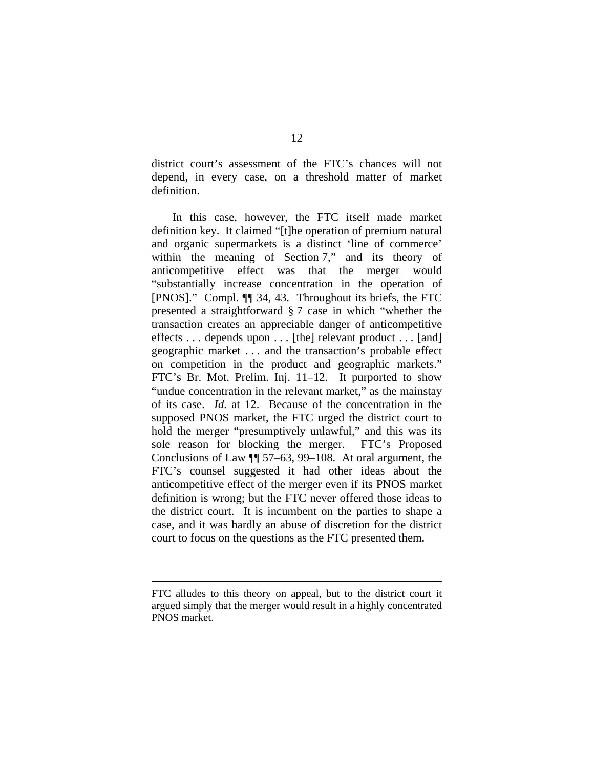district court's assessment of the FTC's chances will not depend, in every case, on a threshold matter of market definition.

 In this case, however, the FTC itself made market definition key. It claimed "[t]he operation of premium natural and organic supermarkets is a distinct 'line of commerce' within the meaning of Section 7," and its theory of anticompetitive effect was that the merger would "substantially increase concentration in the operation of [PNOS]." Compl. ¶¶ 34, 43. Throughout its briefs, the FTC presented a straightforward § 7 case in which "whether the transaction creates an appreciable danger of anticompetitive effects . . . depends upon . . . [the] relevant product . . . [and] geographic market . . . and the transaction's probable effect on competition in the product and geographic markets." FTC's Br. Mot. Prelim. Inj. 11–12. It purported to show "undue concentration in the relevant market," as the mainstay of its case. *Id*. at 12. Because of the concentration in the supposed PNOS market, the FTC urged the district court to hold the merger "presumptively unlawful," and this was its sole reason for blocking the merger. FTC's Proposed Conclusions of Law ¶¶ 57–63, 99–108. At oral argument, the FTC's counsel suggested it had other ideas about the anticompetitive effect of the merger even if its PNOS market definition is wrong; but the FTC never offered those ideas to the district court. It is incumbent on the parties to shape a case, and it was hardly an abuse of discretion for the district court to focus on the questions as the FTC presented them.

<u>.</u>

FTC alludes to this theory on appeal, but to the district court it argued simply that the merger would result in a highly concentrated PNOS market.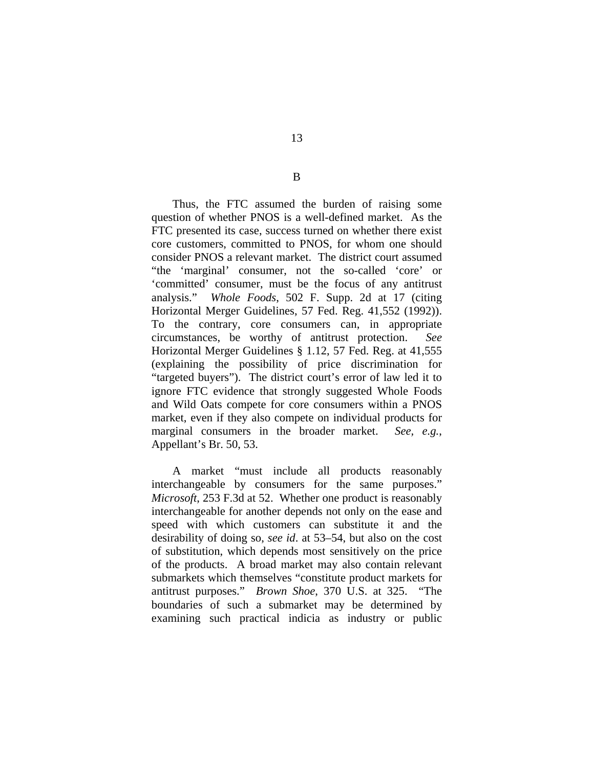Thus, the FTC assumed the burden of raising some question of whether PNOS is a well-defined market. As the FTC presented its case, success turned on whether there exist core customers, committed to PNOS, for whom one should consider PNOS a relevant market. The district court assumed "the 'marginal' consumer, not the so-called 'core' or 'committed' consumer, must be the focus of any antitrust analysis." *Whole Foods*, 502 F. Supp. 2d at 17 (citing Horizontal Merger Guidelines, 57 Fed. Reg. 41,552 (1992)). To the contrary, core consumers can, in appropriate circumstances, be worthy of antitrust protection. *See*  Horizontal Merger Guidelines § 1.12, 57 Fed. Reg. at 41,555 (explaining the possibility of price discrimination for "targeted buyers"). The district court's error of law led it to ignore FTC evidence that strongly suggested Whole Foods and Wild Oats compete for core consumers within a PNOS market, even if they also compete on individual products for marginal consumers in the broader market. *See, e.g.*, Appellant's Br. 50, 53.

 A market "must include all products reasonably interchangeable by consumers for the same purposes." *Microsoft*, 253 F.3d at 52. Whether one product is reasonably interchangeable for another depends not only on the ease and speed with which customers can substitute it and the desirability of doing so, *see id*. at 53–54, but also on the cost of substitution, which depends most sensitively on the price of the products. A broad market may also contain relevant submarkets which themselves "constitute product markets for antitrust purposes." *Brown Shoe*, 370 U.S. at 325. "The boundaries of such a submarket may be determined by examining such practical indicia as industry or public

B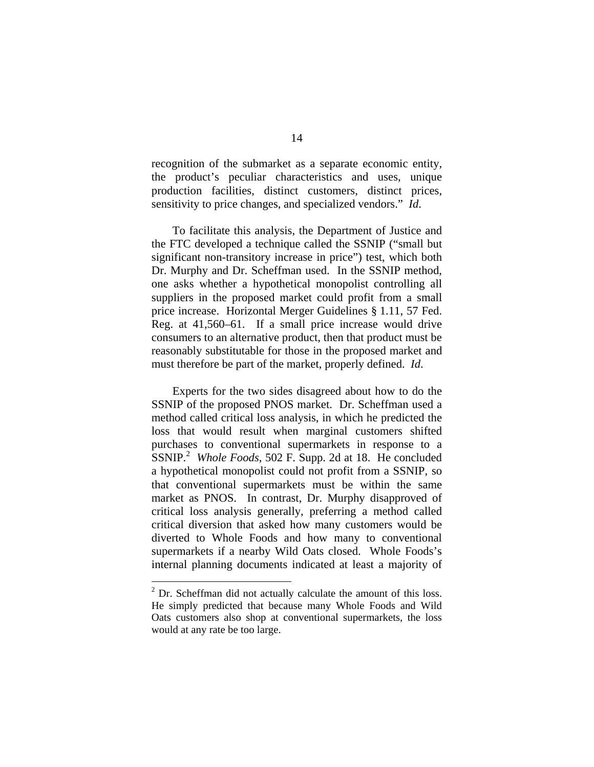recognition of the submarket as a separate economic entity, the product's peculiar characteristics and uses, unique production facilities, distinct customers, distinct prices, sensitivity to price changes, and specialized vendors." *Id*.

 To facilitate this analysis, the Department of Justice and the FTC developed a technique called the SSNIP ("small but significant non-transitory increase in price") test, which both Dr. Murphy and Dr. Scheffman used. In the SSNIP method, one asks whether a hypothetical monopolist controlling all suppliers in the proposed market could profit from a small price increase. Horizontal Merger Guidelines § 1.11, 57 Fed. Reg. at 41,560–61. If a small price increase would drive consumers to an alternative product, then that product must be reasonably substitutable for those in the proposed market and must therefore be part of the market, properly defined. *Id*.

 Experts for the two sides disagreed about how to do the SSNIP of the proposed PNOS market. Dr. Scheffman used a method called critical loss analysis, in which he predicted the loss that would result when marginal customers shifted purchases to conventional supermarkets in response to a SSNIP.<sup>2</sup> Whole Foods, 502 F. Supp. 2d at 18. He concluded a hypothetical monopolist could not profit from a SSNIP, so that conventional supermarkets must be within the same market as PNOS. In contrast, Dr. Murphy disapproved of critical loss analysis generally, preferring a method called critical diversion that asked how many customers would be diverted to Whole Foods and how many to conventional supermarkets if a nearby Wild Oats closed. Whole Foods's internal planning documents indicated at least a majority of

 $\overline{a}$ 

 $2^2$  Dr. Scheffman did not actually calculate the amount of this loss. He simply predicted that because many Whole Foods and Wild Oats customers also shop at conventional supermarkets, the loss would at any rate be too large.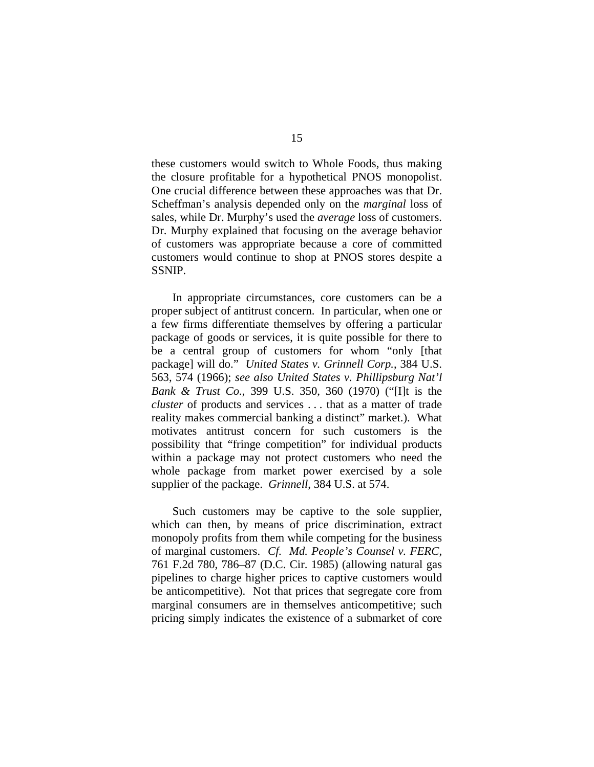these customers would switch to Whole Foods, thus making the closure profitable for a hypothetical PNOS monopolist. One crucial difference between these approaches was that Dr. Scheffman's analysis depended only on the *marginal* loss of sales, while Dr. Murphy's used the *average* loss of customers. Dr. Murphy explained that focusing on the average behavior of customers was appropriate because a core of committed customers would continue to shop at PNOS stores despite a SSNIP.

 In appropriate circumstances, core customers can be a proper subject of antitrust concern. In particular, when one or a few firms differentiate themselves by offering a particular package of goods or services, it is quite possible for there to be a central group of customers for whom "only [that package] will do." *United States v. Grinnell Corp.*, 384 U.S. 563, 574 (1966); *see also United States v. Phillipsburg Nat'l Bank & Trust Co.*, 399 U.S. 350, 360 (1970) ("[I]t is the *cluster* of products and services . . . that as a matter of trade reality makes commercial banking a distinct" market.). What motivates antitrust concern for such customers is the possibility that "fringe competition" for individual products within a package may not protect customers who need the whole package from market power exercised by a sole supplier of the package. *Grinnell*, 384 U.S. at 574.

 Such customers may be captive to the sole supplier, which can then, by means of price discrimination, extract monopoly profits from them while competing for the business of marginal customers. *Cf. Md. People's Counsel v. FERC*, 761 F.2d 780, 786–87 (D.C. Cir. 1985) (allowing natural gas pipelines to charge higher prices to captive customers would be anticompetitive). Not that prices that segregate core from marginal consumers are in themselves anticompetitive; such pricing simply indicates the existence of a submarket of core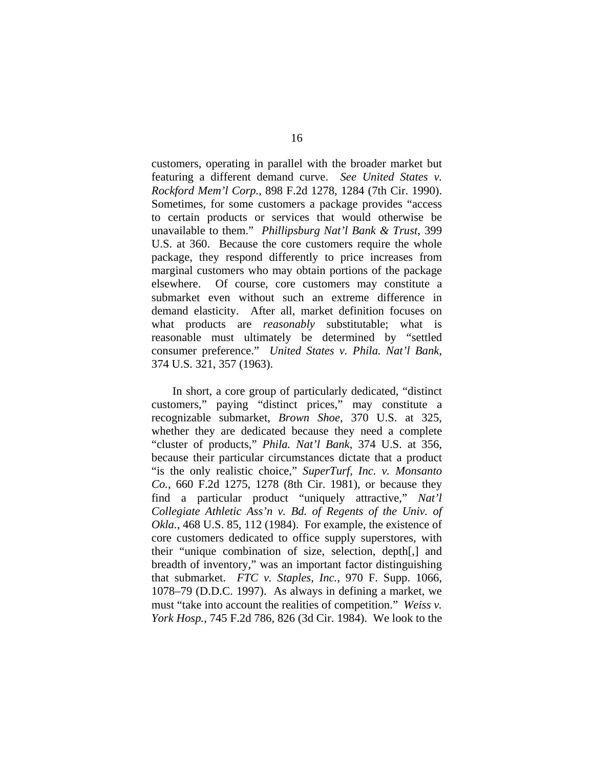customers, operating in parallel with the broader market but featuring a different demand curve. *See United States v. Rockford Mem'l Corp.*, 898 F.2d 1278, 1284 (7th Cir. 1990). Sometimes, for some customers a package provides "access to certain products or services that would otherwise be unavailable to them." *Phillipsburg Nat'l Bank & Trust*, 399 U.S. at 360. Because the core customers require the whole package, they respond differently to price increases from marginal customers who may obtain portions of the package elsewhere. Of course, core customers may constitute a submarket even without such an extreme difference in demand elasticity. After all, market definition focuses on what products are *reasonably* substitutable; what is reasonable must ultimately be determined by "settled consumer preference." *United States v. Phila. Nat'l Bank*, 374 U.S. 321, 357 (1963).

 In short, a core group of particularly dedicated, "distinct customers," paying "distinct prices," may constitute a recognizable submarket, *Brown Shoe*, 370 U.S. at 325, whether they are dedicated because they need a complete "cluster of products," *Phila. Nat'l Bank*, 374 U.S. at 356, because their particular circumstances dictate that a product "is the only realistic choice," *SuperTurf, Inc. v. Monsanto Co.*, 660 F.2d 1275, 1278 (8th Cir. 1981), or because they find a particular product "uniquely attractive," *Nat'l Collegiate Athletic Ass'n v. Bd. of Regents of the Univ. of Okla.*, 468 U.S. 85, 112 (1984). For example, the existence of core customers dedicated to office supply superstores, with their "unique combination of size, selection, depth[,] and breadth of inventory," was an important factor distinguishing that submarket. *FTC v. Staples, Inc.*, 970 F. Supp. 1066, 1078–79 (D.D.C. 1997). As always in defining a market, we must "take into account the realities of competition." *Weiss v. York Hosp.*, 745 F.2d 786, 826 (3d Cir. 1984). We look to the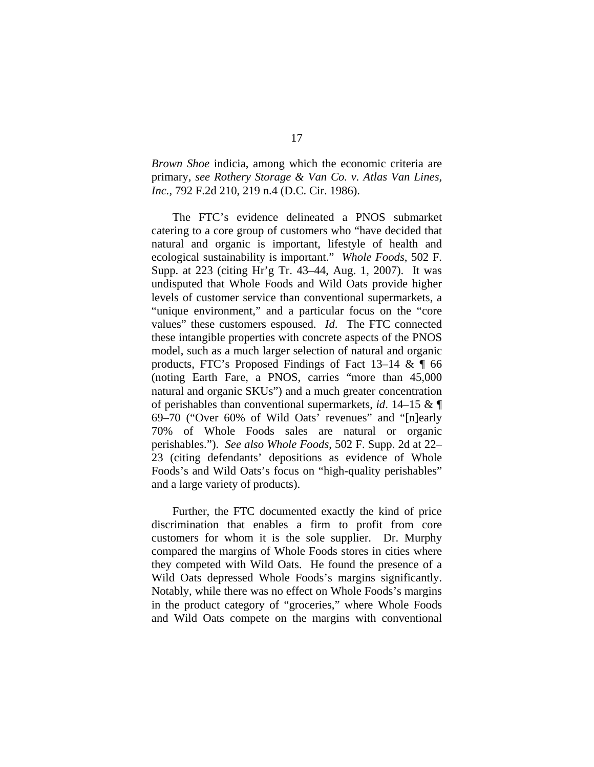*Brown Shoe* indicia, among which the economic criteria are primary, *see Rothery Storage & Van Co. v. Atlas Van Lines, Inc.*, 792 F.2d 210, 219 n.4 (D.C. Cir. 1986).

 The FTC's evidence delineated a PNOS submarket catering to a core group of customers who "have decided that natural and organic is important, lifestyle of health and ecological sustainability is important." *Whole Foods*, 502 F. Supp. at 223 (citing Hr'g Tr. 43–44, Aug. 1, 2007). It was undisputed that Whole Foods and Wild Oats provide higher levels of customer service than conventional supermarkets, a "unique environment," and a particular focus on the "core values" these customers espoused. *Id*. The FTC connected these intangible properties with concrete aspects of the PNOS model, such as a much larger selection of natural and organic products, FTC's Proposed Findings of Fact 13–14  $\&$  ¶ 66 (noting Earth Fare, a PNOS, carries "more than 45,000 natural and organic SKUs") and a much greater concentration of perishables than conventional supermarkets, *id*. 14–15 & ¶ 69–70 ("Over 60% of Wild Oats' revenues" and "[n]early 70% of Whole Foods sales are natural or organic perishables."). *See also Whole Foods*, 502 F. Supp. 2d at 22– 23 (citing defendants' depositions as evidence of Whole Foods's and Wild Oats's focus on "high-quality perishables" and a large variety of products).

 Further, the FTC documented exactly the kind of price discrimination that enables a firm to profit from core customers for whom it is the sole supplier. Dr. Murphy compared the margins of Whole Foods stores in cities where they competed with Wild Oats. He found the presence of a Wild Oats depressed Whole Foods's margins significantly. Notably, while there was no effect on Whole Foods's margins in the product category of "groceries," where Whole Foods and Wild Oats compete on the margins with conventional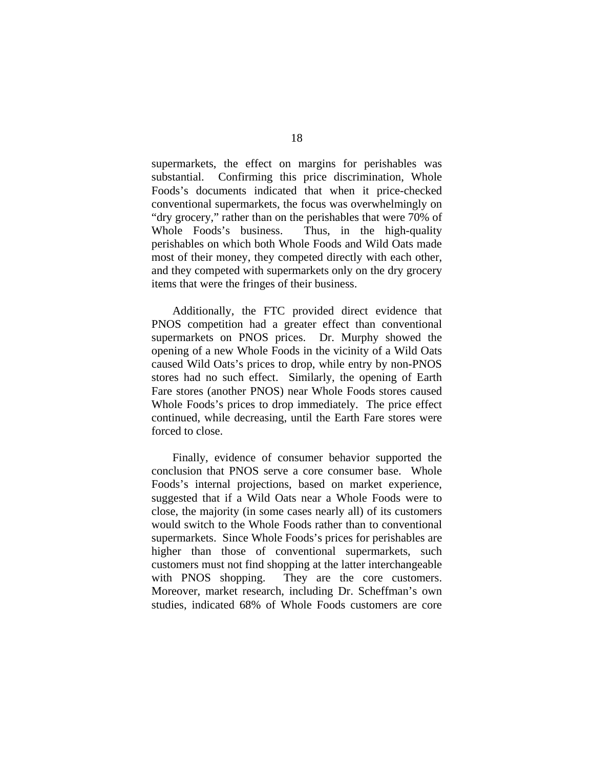supermarkets, the effect on margins for perishables was substantial. Confirming this price discrimination, Whole Foods's documents indicated that when it price-checked conventional supermarkets, the focus was overwhelmingly on "dry grocery," rather than on the perishables that were 70% of Whole Foods's business. Thus, in the high-quality perishables on which both Whole Foods and Wild Oats made most of their money, they competed directly with each other, and they competed with supermarkets only on the dry grocery items that were the fringes of their business.

 Additionally, the FTC provided direct evidence that PNOS competition had a greater effect than conventional supermarkets on PNOS prices. Dr. Murphy showed the opening of a new Whole Foods in the vicinity of a Wild Oats caused Wild Oats's prices to drop, while entry by non-PNOS stores had no such effect. Similarly, the opening of Earth Fare stores (another PNOS) near Whole Foods stores caused Whole Foods's prices to drop immediately. The price effect continued, while decreasing, until the Earth Fare stores were forced to close.

 Finally, evidence of consumer behavior supported the conclusion that PNOS serve a core consumer base. Whole Foods's internal projections, based on market experience, suggested that if a Wild Oats near a Whole Foods were to close, the majority (in some cases nearly all) of its customers would switch to the Whole Foods rather than to conventional supermarkets. Since Whole Foods's prices for perishables are higher than those of conventional supermarkets, such customers must not find shopping at the latter interchangeable with PNOS shopping. They are the core customers. Moreover, market research, including Dr. Scheffman's own studies, indicated 68% of Whole Foods customers are core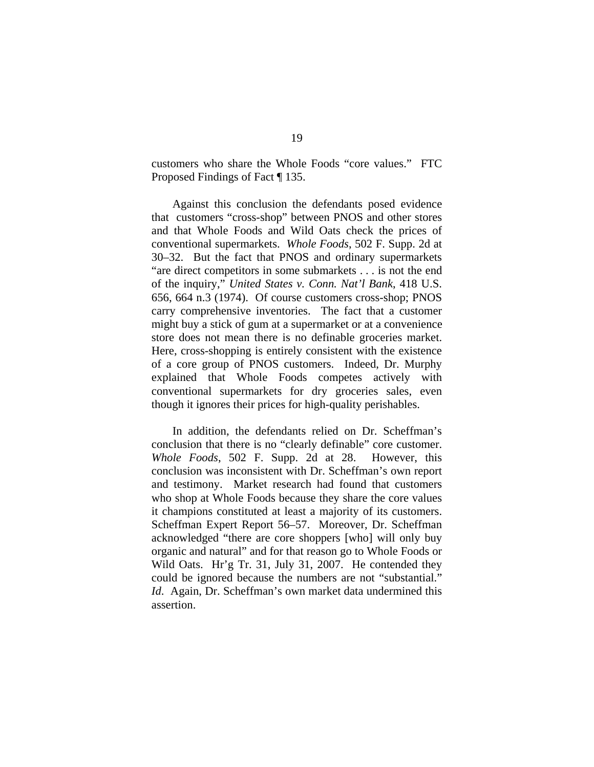customers who share the Whole Foods "core values." FTC Proposed Findings of Fact ¶ 135.

 Against this conclusion the defendants posed evidence that customers "cross-shop" between PNOS and other stores and that Whole Foods and Wild Oats check the prices of conventional supermarkets. *Whole Foods*, 502 F. Supp. 2d at 30–32. But the fact that PNOS and ordinary supermarkets "are direct competitors in some submarkets . . . is not the end of the inquiry," *United States v. Conn. Nat'l Bank*, 418 U.S. 656, 664 n.3 (1974). Of course customers cross-shop; PNOS carry comprehensive inventories. The fact that a customer might buy a stick of gum at a supermarket or at a convenience store does not mean there is no definable groceries market. Here, cross-shopping is entirely consistent with the existence of a core group of PNOS customers. Indeed, Dr. Murphy explained that Whole Foods competes actively with conventional supermarkets for dry groceries sales, even though it ignores their prices for high-quality perishables.

 In addition, the defendants relied on Dr. Scheffman's conclusion that there is no "clearly definable" core customer. *Whole Foods*, 502 F. Supp. 2d at 28. However, this conclusion was inconsistent with Dr. Scheffman's own report and testimony. Market research had found that customers who shop at Whole Foods because they share the core values it champions constituted at least a majority of its customers. Scheffman Expert Report 56–57. Moreover, Dr. Scheffman acknowledged "there are core shoppers [who] will only buy organic and natural" and for that reason go to Whole Foods or Wild Oats. Hr'g Tr. 31, July 31, 2007. He contended they could be ignored because the numbers are not "substantial." *Id*. Again, Dr. Scheffman's own market data undermined this assertion.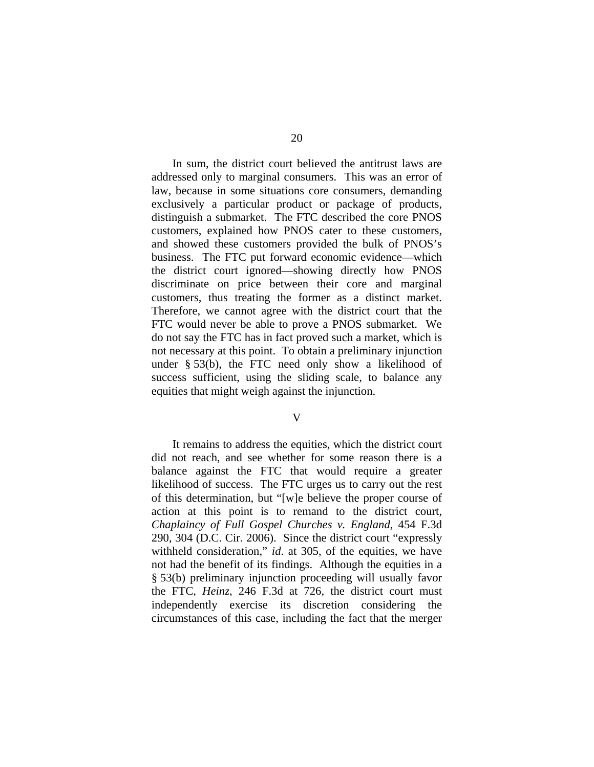In sum, the district court believed the antitrust laws are addressed only to marginal consumers. This was an error of law, because in some situations core consumers, demanding exclusively a particular product or package of products, distinguish a submarket. The FTC described the core PNOS customers, explained how PNOS cater to these customers, and showed these customers provided the bulk of PNOS's business. The FTC put forward economic evidence—which the district court ignored—showing directly how PNOS discriminate on price between their core and marginal customers, thus treating the former as a distinct market. Therefore, we cannot agree with the district court that the FTC would never be able to prove a PNOS submarket. We do not say the FTC has in fact proved such a market, which is not necessary at this point. To obtain a preliminary injunction under § 53(b), the FTC need only show a likelihood of success sufficient, using the sliding scale, to balance any equities that might weigh against the injunction.

V

 It remains to address the equities, which the district court did not reach, and see whether for some reason there is a balance against the FTC that would require a greater likelihood of success. The FTC urges us to carry out the rest of this determination, but "[w]e believe the proper course of action at this point is to remand to the district court, *Chaplaincy of Full Gospel Churches v. England*, 454 F.3d 290, 304 (D.C. Cir. 2006). Since the district court "expressly withheld consideration," *id*. at 305, of the equities, we have not had the benefit of its findings. Although the equities in a § 53(b) preliminary injunction proceeding will usually favor the FTC, *Heinz*, 246 F.3d at 726, the district court must independently exercise its discretion considering the circumstances of this case, including the fact that the merger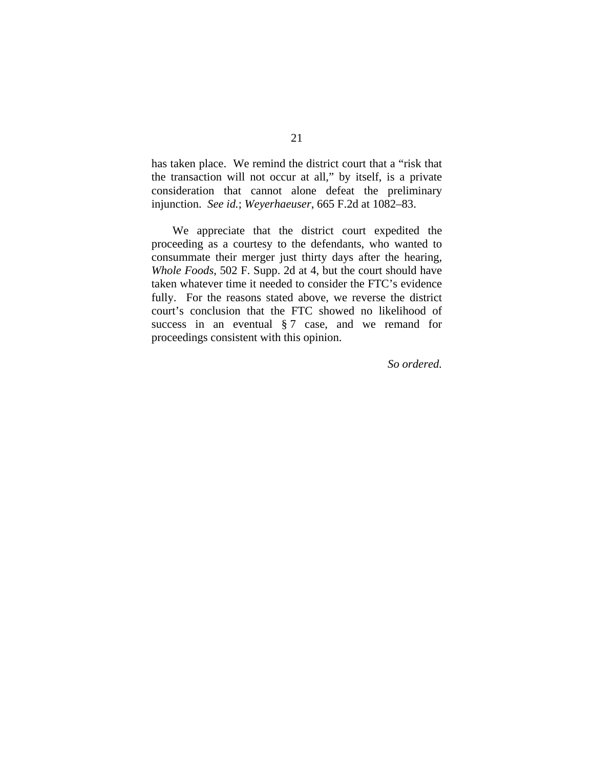has taken place. We remind the district court that a "risk that the transaction will not occur at all," by itself, is a private consideration that cannot alone defeat the preliminary injunction. *See id.*; *Weyerhaeuser*, 665 F.2d at 1082–83.

 We appreciate that the district court expedited the proceeding as a courtesy to the defendants, who wanted to consummate their merger just thirty days after the hearing, *Whole Foods*, 502 F. Supp. 2d at 4, but the court should have taken whatever time it needed to consider the FTC's evidence fully. For the reasons stated above, we reverse the district court's conclusion that the FTC showed no likelihood of success in an eventual § 7 case, and we remand for proceedings consistent with this opinion.

*So ordered.*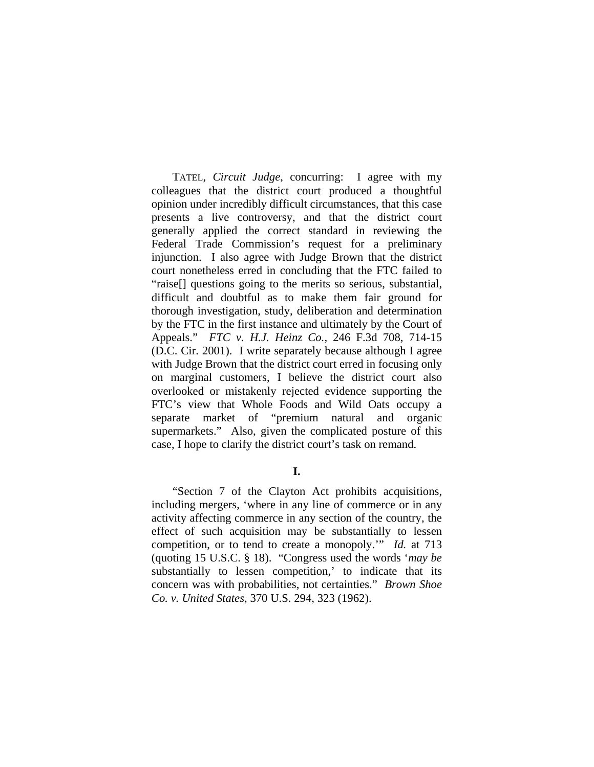TATEL, *Circuit Judge*, concurring: I agree with my colleagues that the district court produced a thoughtful opinion under incredibly difficult circumstances, that this case presents a live controversy, and that the district court generally applied the correct standard in reviewing the Federal Trade Commission's request for a preliminary injunction. I also agree with Judge Brown that the district court nonetheless erred in concluding that the FTC failed to "raise[] questions going to the merits so serious, substantial, difficult and doubtful as to make them fair ground for thorough investigation, study, deliberation and determination by the FTC in the first instance and ultimately by the Court of Appeals." *FTC v. H.J. Heinz Co.*, 246 F.3d 708, 714-15 (D.C. Cir. 2001). I write separately because although I agree with Judge Brown that the district court erred in focusing only on marginal customers, I believe the district court also overlooked or mistakenly rejected evidence supporting the FTC's view that Whole Foods and Wild Oats occupy a separate market of "premium natural and organic supermarkets." Also, given the complicated posture of this case, I hope to clarify the district court's task on remand.

## **I.**

"Section 7 of the Clayton Act prohibits acquisitions, including mergers, 'where in any line of commerce or in any activity affecting commerce in any section of the country, the effect of such acquisition may be substantially to lessen competition, or to tend to create a monopoly.'" *Id.* at 713 (quoting 15 U.S.C. § 18). "Congress used the words '*may be* substantially to lessen competition,' to indicate that its concern was with probabilities, not certainties." *Brown Shoe Co. v. United States*, 370 U.S. 294, 323 (1962).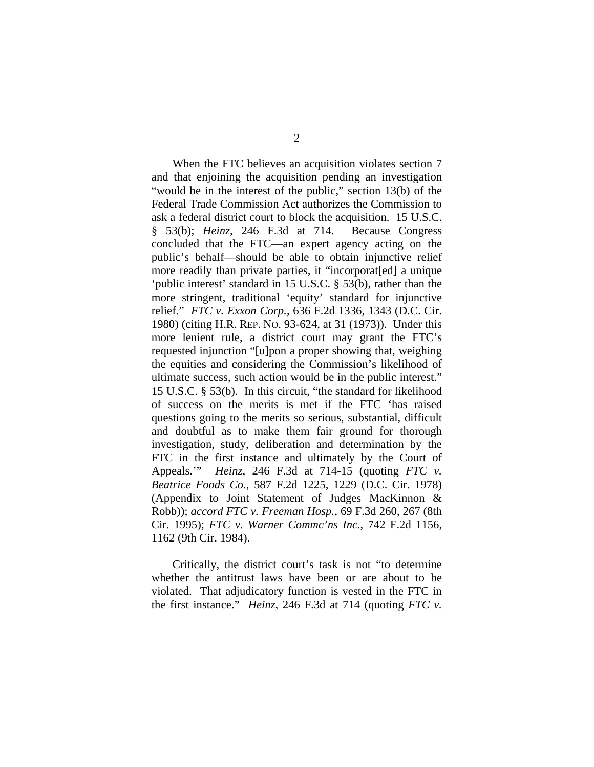When the FTC believes an acquisition violates section 7 and that enjoining the acquisition pending an investigation "would be in the interest of the public," section 13(b) of the Federal Trade Commission Act authorizes the Commission to ask a federal district court to block the acquisition. 15 U.S.C. § 53(b); *Heinz*, 246 F.3d at 714. Because Congress concluded that the FTC—an expert agency acting on the public's behalf—should be able to obtain injunctive relief more readily than private parties, it "incorporat[ed] a unique 'public interest' standard in 15 U.S.C. § 53(b), rather than the more stringent, traditional 'equity' standard for injunctive relief." *FTC v. Exxon Corp.*, 636 F.2d 1336, 1343 (D.C. Cir. 1980) (citing H.R. REP. NO. 93-624, at 31 (1973)). Under this more lenient rule, a district court may grant the FTC's requested injunction "[u]pon a proper showing that, weighing the equities and considering the Commission's likelihood of ultimate success, such action would be in the public interest." 15 U.S.C. § 53(b). In this circuit, "the standard for likelihood of success on the merits is met if the FTC 'has raised questions going to the merits so serious, substantial, difficult and doubtful as to make them fair ground for thorough investigation, study, deliberation and determination by the FTC in the first instance and ultimately by the Court of Appeals.'" *Heinz*, 246 F.3d at 714-15 (quoting *FTC v. Beatrice Foods Co.*, 587 F.2d 1225, 1229 (D.C. Cir. 1978) (Appendix to Joint Statement of Judges MacKinnon & Robb)); *accord FTC v. Freeman Hosp.*, 69 F.3d 260, 267 (8th Cir. 1995); *FTC v. Warner Commc'ns Inc.*, 742 F.2d 1156, 1162 (9th Cir. 1984).

Critically, the district court's task is not "to determine whether the antitrust laws have been or are about to be violated. That adjudicatory function is vested in the FTC in the first instance." *Heinz*, 246 F.3d at 714 (quoting *FTC v.*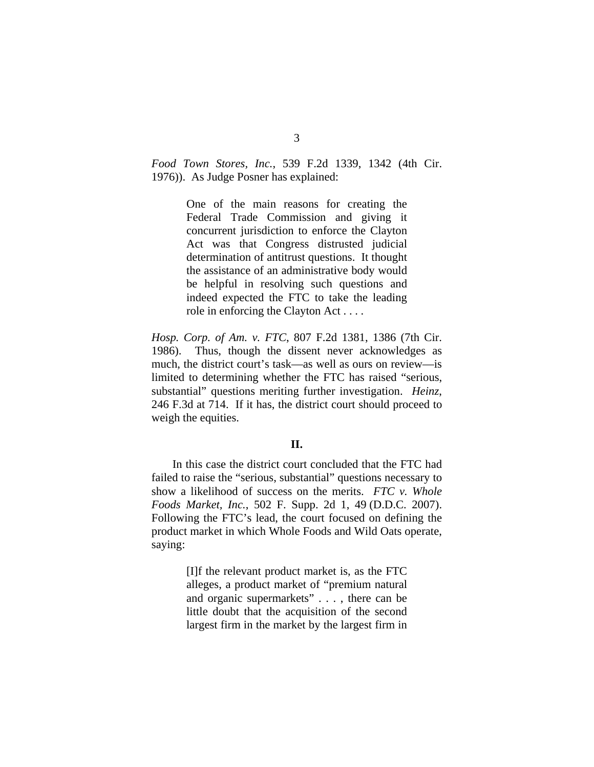*Food Town Stores, Inc.*, 539 F.2d 1339, 1342 (4th Cir. 1976)). As Judge Posner has explained:

> One of the main reasons for creating the Federal Trade Commission and giving it concurrent jurisdiction to enforce the Clayton Act was that Congress distrusted judicial determination of antitrust questions. It thought the assistance of an administrative body would be helpful in resolving such questions and indeed expected the FTC to take the leading role in enforcing the Clayton Act . . . .

*Hosp. Corp. of Am. v. FTC*, 807 F.2d 1381, 1386 (7th Cir. 1986). Thus, though the dissent never acknowledges as much, the district court's task—as well as ours on review—is limited to determining whether the FTC has raised "serious, substantial" questions meriting further investigation. *Heinz*, 246 F.3d at 714. If it has, the district court should proceed to weigh the equities.

#### **II.**

In this case the district court concluded that the FTC had failed to raise the "serious, substantial" questions necessary to show a likelihood of success on the merits. *FTC v. Whole Foods Market, Inc.*, 502 F. Supp. 2d 1, 49 (D.D.C. 2007). Following the FTC's lead, the court focused on defining the product market in which Whole Foods and Wild Oats operate, saying:

> [I]f the relevant product market is, as the FTC alleges, a product market of "premium natural and organic supermarkets" . . . , there can be little doubt that the acquisition of the second largest firm in the market by the largest firm in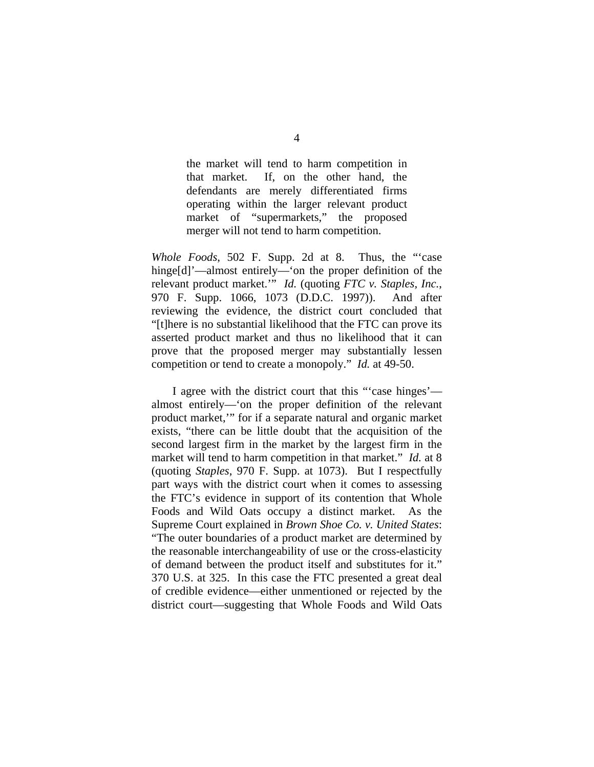the market will tend to harm competition in that market. If, on the other hand, the defendants are merely differentiated firms operating within the larger relevant product market of "supermarkets," the proposed merger will not tend to harm competition.

*Whole Foods*, 502 F. Supp. 2d at 8. Thus, the "'case hinge[d]'—almost entirely—'on the proper definition of the relevant product market." *Id.* (quoting *FTC v. Staples, Inc.*, 970 F. Supp. 1066, 1073 (D.D.C. 1997)). And after reviewing the evidence, the district court concluded that "[t]here is no substantial likelihood that the FTC can prove its asserted product market and thus no likelihood that it can prove that the proposed merger may substantially lessen competition or tend to create a monopoly." *Id.* at 49-50.

I agree with the district court that this "'case hinges' almost entirely—'on the proper definition of the relevant product market,'" for if a separate natural and organic market exists, "there can be little doubt that the acquisition of the second largest firm in the market by the largest firm in the market will tend to harm competition in that market." *Id.* at 8 (quoting *Staples*, 970 F. Supp. at 1073). But I respectfully part ways with the district court when it comes to assessing the FTC's evidence in support of its contention that Whole Foods and Wild Oats occupy a distinct market. As the Supreme Court explained in *Brown Shoe Co. v. United States*: "The outer boundaries of a product market are determined by the reasonable interchangeability of use or the cross-elasticity of demand between the product itself and substitutes for it." 370 U.S. at 325. In this case the FTC presented a great deal of credible evidence—either unmentioned or rejected by the district court—suggesting that Whole Foods and Wild Oats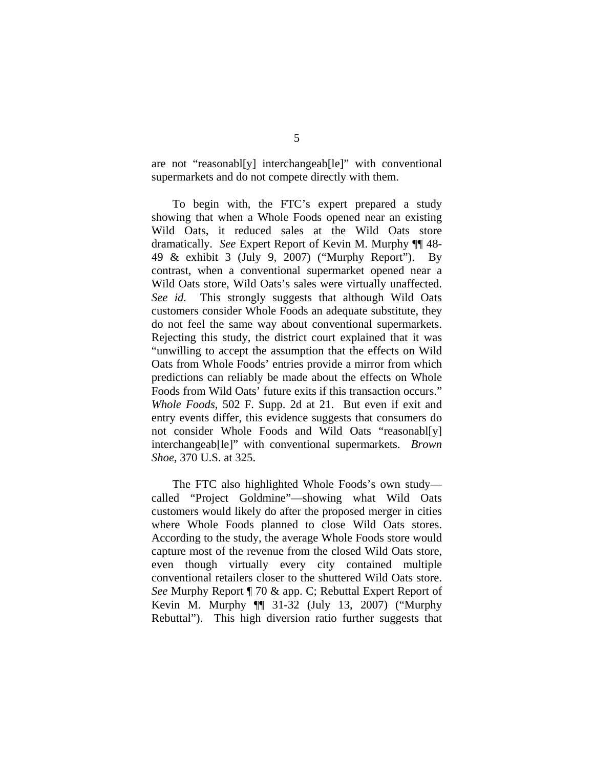are not "reasonabl[y] interchangeab[le]" with conventional supermarkets and do not compete directly with them.

 To begin with, the FTC's expert prepared a study showing that when a Whole Foods opened near an existing Wild Oats, it reduced sales at the Wild Oats store dramatically. *See* Expert Report of Kevin M. Murphy ¶¶ 48- 49 & exhibit 3 (July 9, 2007) ("Murphy Report"). By contrast, when a conventional supermarket opened near a Wild Oats store, Wild Oats's sales were virtually unaffected. *See id.* This strongly suggests that although Wild Oats customers consider Whole Foods an adequate substitute, they do not feel the same way about conventional supermarkets. Rejecting this study, the district court explained that it was "unwilling to accept the assumption that the effects on Wild Oats from Whole Foods' entries provide a mirror from which predictions can reliably be made about the effects on Whole Foods from Wild Oats' future exits if this transaction occurs." *Whole Foods*, 502 F. Supp. 2d at 21. But even if exit and entry events differ, this evidence suggests that consumers do not consider Whole Foods and Wild Oats "reasonabl[y] interchangeab[le]" with conventional supermarkets. *Brown Shoe*, 370 U.S. at 325.

The FTC also highlighted Whole Foods's own study called "Project Goldmine"—showing what Wild Oats customers would likely do after the proposed merger in cities where Whole Foods planned to close Wild Oats stores. According to the study, the average Whole Foods store would capture most of the revenue from the closed Wild Oats store, even though virtually every city contained multiple conventional retailers closer to the shuttered Wild Oats store. *See* Murphy Report ¶ 70 & app. C; Rebuttal Expert Report of Kevin M. Murphy ¶¶ 31-32 (July 13, 2007) ("Murphy Rebuttal"). This high diversion ratio further suggests that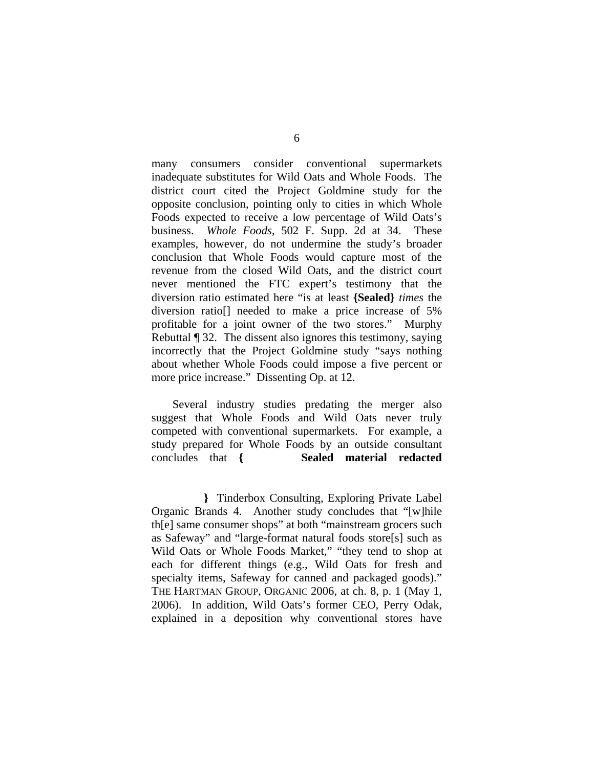many consumers consider conventional supermarkets inadequate substitutes for Wild Oats and Whole Foods. The district court cited the Project Goldmine study for the opposite conclusion, pointing only to cities in which Whole Foods expected to receive a low percentage of Wild Oats's business. *Whole Foods*, 502 F. Supp. 2d at 34. These examples, however, do not undermine the study's broader conclusion that Whole Foods would capture most of the revenue from the closed Wild Oats, and the district court never mentioned the FTC expert's testimony that the diversion ratio estimated here "is at least **{Sealed}** *times* the diversion ratio[] needed to make a price increase of 5% profitable for a joint owner of the two stores." Murphy Rebuttal ¶ 32. The dissent also ignores this testimony, saying incorrectly that the Project Goldmine study "says nothing about whether Whole Foods could impose a five percent or more price increase." Dissenting Op. at 12.

Several industry studies predating the merger also suggest that Whole Foods and Wild Oats never truly competed with conventional supermarkets. For example, a study prepared for Whole Foods by an outside consultant concludes that **{ \_\_\_\_\_\_ Sealed material redacted**

**\_\_\_\_\_\_\_\_\_}** Tinderbox Consulting, Exploring Private Label Organic Brands 4. Another study concludes that "[w]hile th[e] same consumer shops" at both "mainstream grocers such as Safeway" and "large-format natural foods store[s] such as Wild Oats or Whole Foods Market," "they tend to shop at each for different things (e.g., Wild Oats for fresh and specialty items, Safeway for canned and packaged goods)." THE HARTMAN GROUP, ORGANIC 2006, at ch. 8, p. 1 (May 1, 2006). In addition, Wild Oats's former CEO, Perry Odak, explained in a deposition why conventional stores have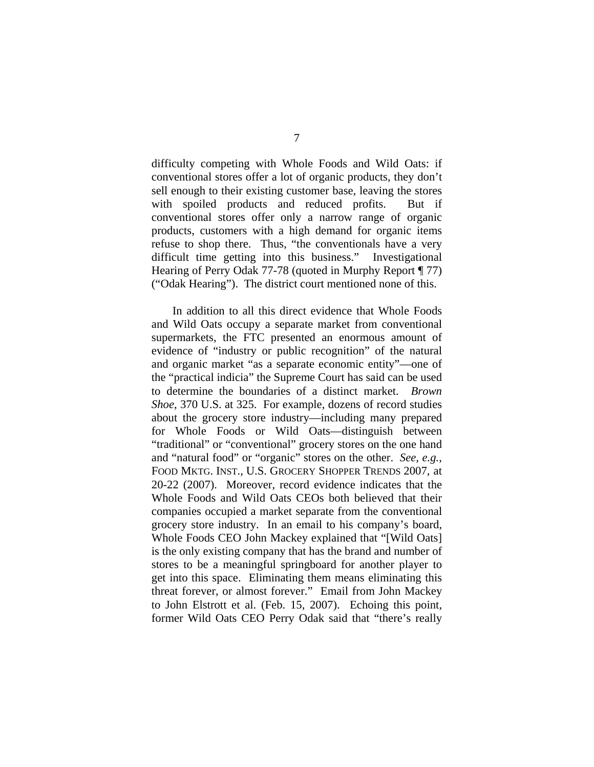difficulty competing with Whole Foods and Wild Oats: if conventional stores offer a lot of organic products, they don't sell enough to their existing customer base, leaving the stores with spoiled products and reduced profits. But if conventional stores offer only a narrow range of organic products, customers with a high demand for organic items refuse to shop there. Thus, "the conventionals have a very difficult time getting into this business." Investigational Hearing of Perry Odak 77-78 (quoted in Murphy Report ¶ 77) ("Odak Hearing"). The district court mentioned none of this.

 In addition to all this direct evidence that Whole Foods and Wild Oats occupy a separate market from conventional supermarkets, the FTC presented an enormous amount of evidence of "industry or public recognition" of the natural and organic market "as a separate economic entity"—one of the "practical indicia" the Supreme Court has said can be used to determine the boundaries of a distinct market. *Brown Shoe*, 370 U.S. at 325. For example, dozens of record studies about the grocery store industry—including many prepared for Whole Foods or Wild Oats—distinguish between "traditional" or "conventional" grocery stores on the one hand and "natural food" or "organic" stores on the other. *See, e.g.*, FOOD MKTG. INST., U.S. GROCERY SHOPPER TRENDS 2007, at 20-22 (2007). Moreover, record evidence indicates that the Whole Foods and Wild Oats CEOs both believed that their companies occupied a market separate from the conventional grocery store industry. In an email to his company's board, Whole Foods CEO John Mackey explained that "[Wild Oats] is the only existing company that has the brand and number of stores to be a meaningful springboard for another player to get into this space. Eliminating them means eliminating this threat forever, or almost forever." Email from John Mackey to John Elstrott et al. (Feb. 15, 2007). Echoing this point, former Wild Oats CEO Perry Odak said that "there's really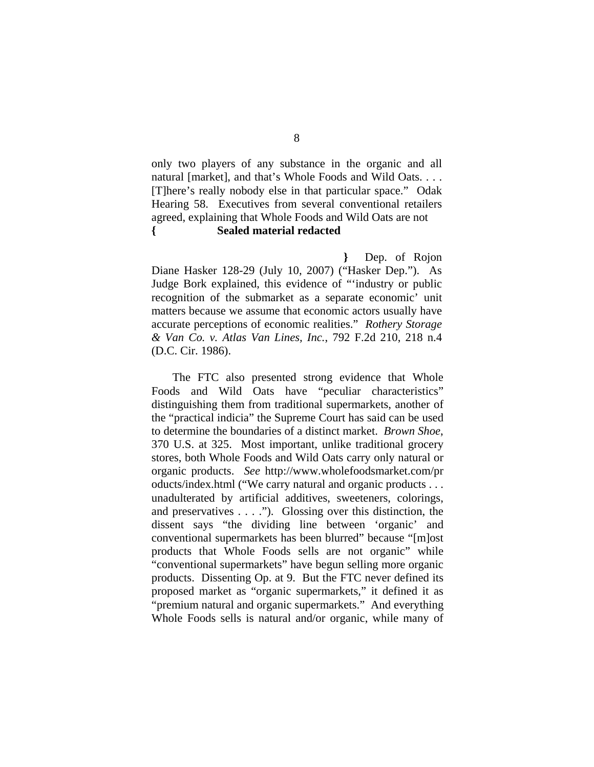only two players of any substance in the organic and all natural [market], and that's Whole Foods and Wild Oats. . . . [T]here's really nobody else in that particular space." Odak Hearing 58. Executives from several conventional retailers agreed, explaining that Whole Foods and Wild Oats are not **{ Sealed material redacted** 

**\_\_\_\_\_\_\_\_\_\_\_\_\_\_\_\_\_\_\_\_\_\_\_\_\_\_\_\_\_\_\_\_\_}** Dep. of Rojon Diane Hasker 128-29 (July 10, 2007) ("Hasker Dep."). As Judge Bork explained, this evidence of "'industry or public recognition of the submarket as a separate economic' unit matters because we assume that economic actors usually have accurate perceptions of economic realities." *Rothery Storage & Van Co. v. Atlas Van Lines, Inc.*, 792 F.2d 210, 218 n.4 (D.C. Cir. 1986).

The FTC also presented strong evidence that Whole Foods and Wild Oats have "peculiar characteristics" distinguishing them from traditional supermarkets, another of the "practical indicia" the Supreme Court has said can be used to determine the boundaries of a distinct market. *Brown Shoe*, 370 U.S. at 325. Most important, unlike traditional grocery stores, both Whole Foods and Wild Oats carry only natural or organic products. *See* http://www.wholefoodsmarket.com/pr oducts/index.html ("We carry natural and organic products . . . unadulterated by artificial additives, sweeteners, colorings, and preservatives . . . ."). Glossing over this distinction, the dissent says "the dividing line between 'organic' and conventional supermarkets has been blurred" because "[m]ost products that Whole Foods sells are not organic" while "conventional supermarkets" have begun selling more organic products. Dissenting Op. at 9. But the FTC never defined its proposed market as "organic supermarkets," it defined it as "premium natural and organic supermarkets." And everything Whole Foods sells is natural and/or organic, while many of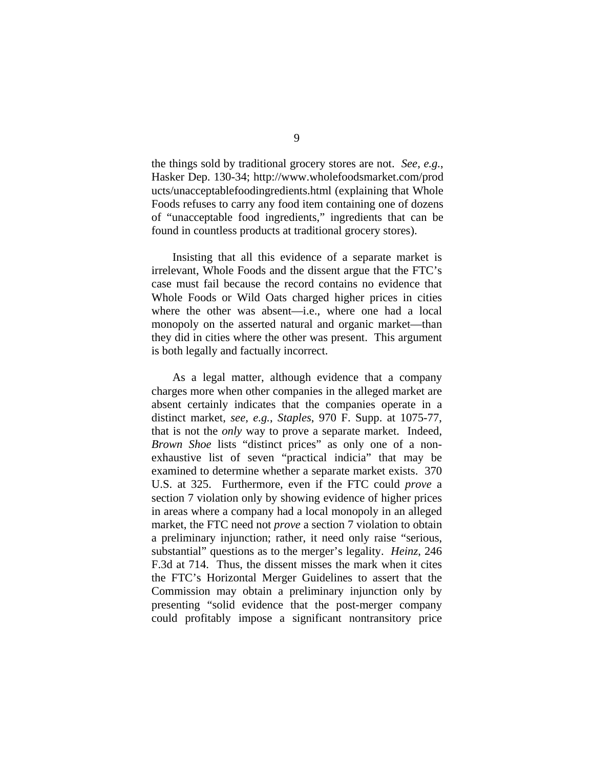the things sold by traditional grocery stores are not. *See, e.g.*, Hasker Dep. 130-34; http://www.wholefoodsmarket.com/prod ucts/unacceptablefoodingredients.html (explaining that Whole Foods refuses to carry any food item containing one of dozens of "unacceptable food ingredients," ingredients that can be found in countless products at traditional grocery stores).

Insisting that all this evidence of a separate market is irrelevant, Whole Foods and the dissent argue that the FTC's case must fail because the record contains no evidence that Whole Foods or Wild Oats charged higher prices in cities where the other was absent—i.e., where one had a local monopoly on the asserted natural and organic market—than they did in cities where the other was present. This argument is both legally and factually incorrect.

As a legal matter, although evidence that a company charges more when other companies in the alleged market are absent certainly indicates that the companies operate in a distinct market, *see, e.g.*, *Staples*, 970 F. Supp. at 1075-77, that is not the *only* way to prove a separate market. Indeed, *Brown Shoe* lists "distinct prices" as only one of a nonexhaustive list of seven "practical indicia" that may be examined to determine whether a separate market exists. 370 U.S. at 325. Furthermore, even if the FTC could *prove* a section 7 violation only by showing evidence of higher prices in areas where a company had a local monopoly in an alleged market, the FTC need not *prove* a section 7 violation to obtain a preliminary injunction; rather, it need only raise "serious, substantial" questions as to the merger's legality. *Heinz*, 246 F.3d at 714. Thus, the dissent misses the mark when it cites the FTC's Horizontal Merger Guidelines to assert that the Commission may obtain a preliminary injunction only by presenting "solid evidence that the post-merger company could profitably impose a significant nontransitory price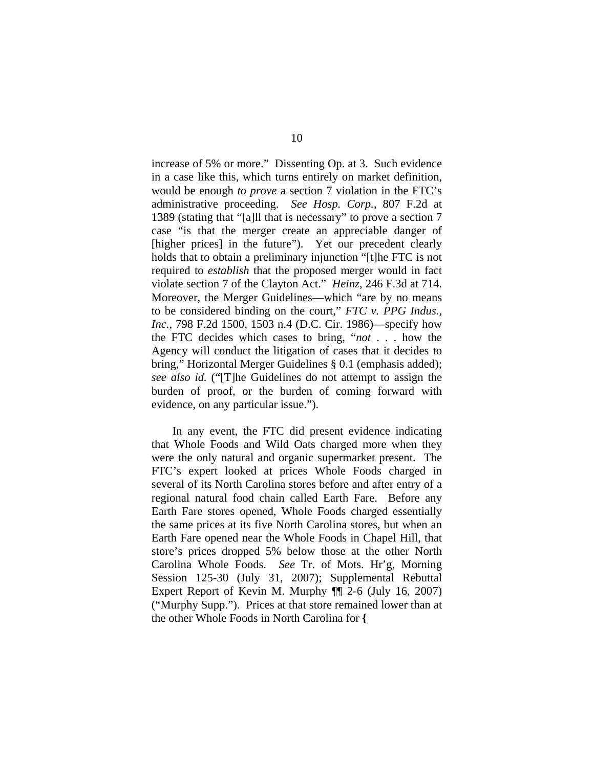increase of 5% or more." Dissenting Op. at 3. Such evidence in a case like this, which turns entirely on market definition, would be enough *to prove* a section 7 violation in the FTC's administrative proceeding. *See Hosp. Corp.*, 807 F.2d at 1389 (stating that "[a]ll that is necessary" to prove a section 7 case "is that the merger create an appreciable danger of [higher prices] in the future"). Yet our precedent clearly holds that to obtain a preliminary injunction "[t]he FTC is not required to *establish* that the proposed merger would in fact violate section 7 of the Clayton Act." *Heinz*, 246 F.3d at 714. Moreover, the Merger Guidelines—which "are by no means to be considered binding on the court," *FTC v. PPG Indus., Inc.*, 798 F.2d 1500, 1503 n.4 (D.C. Cir. 1986)—specify how the FTC decides which cases to bring, "*not* . . . how the Agency will conduct the litigation of cases that it decides to bring," Horizontal Merger Guidelines § 0.1 (emphasis added); *see also id.* ("[T]he Guidelines do not attempt to assign the burden of proof, or the burden of coming forward with evidence, on any particular issue.").

In any event, the FTC did present evidence indicating that Whole Foods and Wild Oats charged more when they were the only natural and organic supermarket present. The FTC's expert looked at prices Whole Foods charged in several of its North Carolina stores before and after entry of a regional natural food chain called Earth Fare. Before any Earth Fare stores opened, Whole Foods charged essentially the same prices at its five North Carolina stores, but when an Earth Fare opened near the Whole Foods in Chapel Hill, that store's prices dropped 5% below those at the other North Carolina Whole Foods. *See* Tr. of Mots. Hr'g, Morning Session 125-30 (July 31, 2007); Supplemental Rebuttal Expert Report of Kevin M. Murphy ¶¶ 2-6 (July 16, 2007) ("Murphy Supp."). Prices at that store remained lower than at the other Whole Foods in North Carolina for **{**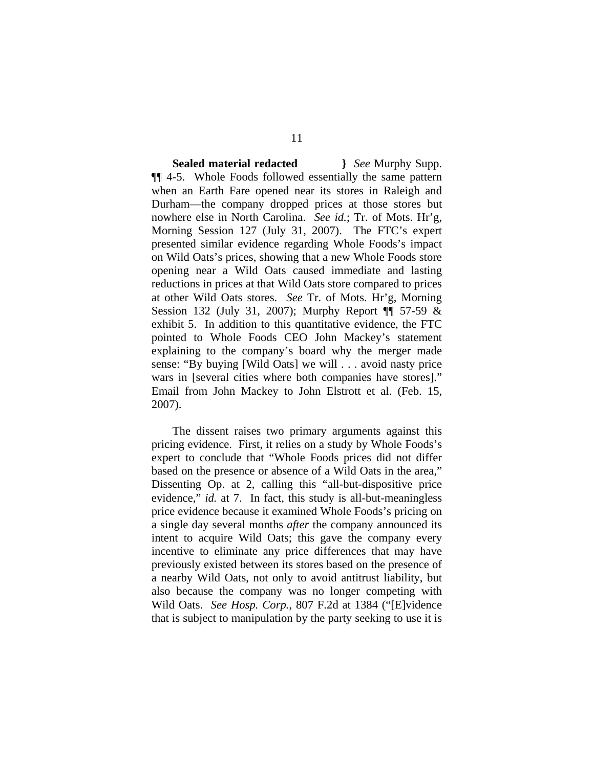**Sealed material redacted \_\_\_\_\_\_\_}** *See* Murphy Supp. ¶¶ 4-5. Whole Foods followed essentially the same pattern when an Earth Fare opened near its stores in Raleigh and Durham—the company dropped prices at those stores but nowhere else in North Carolina. *See id.*; Tr. of Mots. Hr'g, Morning Session 127 (July 31, 2007). The FTC's expert presented similar evidence regarding Whole Foods's impact on Wild Oats's prices, showing that a new Whole Foods store opening near a Wild Oats caused immediate and lasting reductions in prices at that Wild Oats store compared to prices at other Wild Oats stores. *See* Tr. of Mots. Hr'g, Morning Session 132 (July 31, 2007); Murphy Report ¶¶ 57-59 & exhibit 5. In addition to this quantitative evidence, the FTC pointed to Whole Foods CEO John Mackey's statement explaining to the company's board why the merger made sense: "By buying [Wild Oats] we will . . . avoid nasty price wars in [several cities where both companies have stores]." Email from John Mackey to John Elstrott et al. (Feb. 15, 2007).

The dissent raises two primary arguments against this pricing evidence. First, it relies on a study by Whole Foods's expert to conclude that "Whole Foods prices did not differ based on the presence or absence of a Wild Oats in the area," Dissenting Op. at 2, calling this "all-but-dispositive price evidence," *id.* at 7. In fact, this study is all-but-meaningless price evidence because it examined Whole Foods's pricing on a single day several months *after* the company announced its intent to acquire Wild Oats; this gave the company every incentive to eliminate any price differences that may have previously existed between its stores based on the presence of a nearby Wild Oats, not only to avoid antitrust liability, but also because the company was no longer competing with Wild Oats. *See Hosp. Corp.*, 807 F.2d at 1384 ("[E]vidence that is subject to manipulation by the party seeking to use it is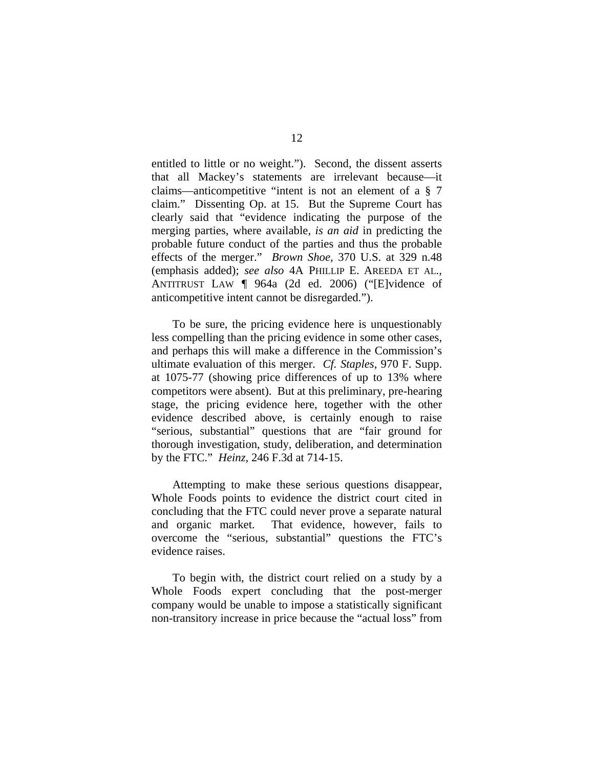entitled to little or no weight."). Second, the dissent asserts that all Mackey's statements are irrelevant because—it claims—anticompetitive "intent is not an element of a § 7 claim." Dissenting Op. at 15. But the Supreme Court has clearly said that "evidence indicating the purpose of the merging parties, where available, *is an aid* in predicting the probable future conduct of the parties and thus the probable effects of the merger." *Brown Shoe*, 370 U.S. at 329 n.48 (emphasis added); *see also* 4A PHILLIP E. AREEDA ET AL., ANTITRUST LAW ¶ 964a (2d ed. 2006) ("[E]vidence of anticompetitive intent cannot be disregarded.").

To be sure, the pricing evidence here is unquestionably less compelling than the pricing evidence in some other cases, and perhaps this will make a difference in the Commission's ultimate evaluation of this merger. *Cf. Staples*, 970 F. Supp. at 1075-77 (showing price differences of up to 13% where competitors were absent). But at this preliminary, pre-hearing stage, the pricing evidence here, together with the other evidence described above, is certainly enough to raise "serious, substantial" questions that are "fair ground for thorough investigation, study, deliberation, and determination by the FTC." *Heinz*, 246 F.3d at 714-15.

Attempting to make these serious questions disappear, Whole Foods points to evidence the district court cited in concluding that the FTC could never prove a separate natural and organic market. That evidence, however, fails to overcome the "serious, substantial" questions the FTC's evidence raises.

To begin with, the district court relied on a study by a Whole Foods expert concluding that the post-merger company would be unable to impose a statistically significant non-transitory increase in price because the "actual loss" from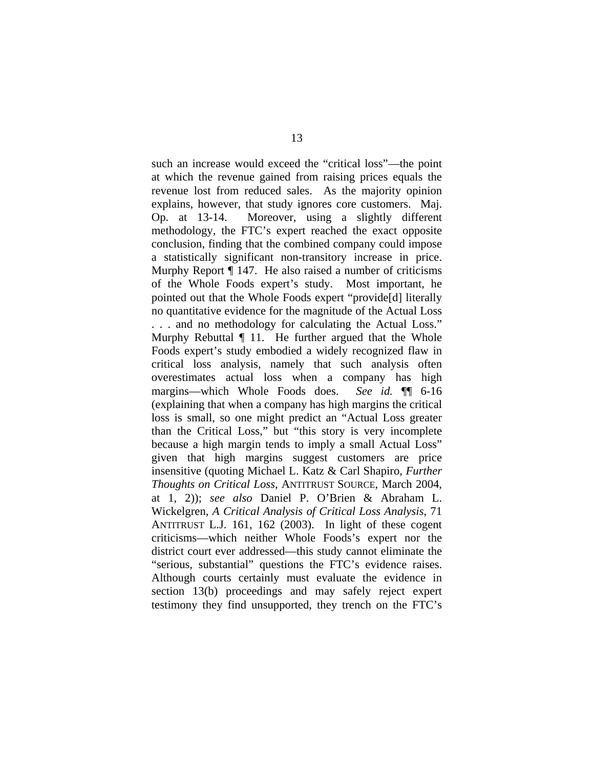such an increase would exceed the "critical loss"—the point at which the revenue gained from raising prices equals the revenue lost from reduced sales. As the majority opinion explains, however, that study ignores core customers. Maj. Op. at 13-14. Moreover, using a slightly different methodology, the FTC's expert reached the exact opposite conclusion, finding that the combined company could impose a statistically significant non-transitory increase in price. Murphy Report ¶ 147. He also raised a number of criticisms of the Whole Foods expert's study. Most important, he pointed out that the Whole Foods expert "provide[d] literally no quantitative evidence for the magnitude of the Actual Loss . . . and no methodology for calculating the Actual Loss." Murphy Rebuttal ¶ 11. He further argued that the Whole Foods expert's study embodied a widely recognized flaw in critical loss analysis, namely that such analysis often overestimates actual loss when a company has high margins—which Whole Foods does. *See id.* ¶¶ 6-16 (explaining that when a company has high margins the critical loss is small, so one might predict an "Actual Loss greater than the Critical Loss," but "this story is very incomplete because a high margin tends to imply a small Actual Loss" given that high margins suggest customers are price insensitive (quoting Michael L. Katz & Carl Shapiro, *Further Thoughts on Critical Loss*, ANTITRUST SOURCE, March 2004, at 1, 2)); *see also* Daniel P. O'Brien & Abraham L. Wickelgren, *A Critical Analysis of Critical Loss Analysis*, 71 ANTITRUST L.J. 161, 162 (2003). In light of these cogent criticisms—which neither Whole Foods's expert nor the district court ever addressed—this study cannot eliminate the "serious, substantial" questions the FTC's evidence raises. Although courts certainly must evaluate the evidence in section 13(b) proceedings and may safely reject expert testimony they find unsupported, they trench on the FTC's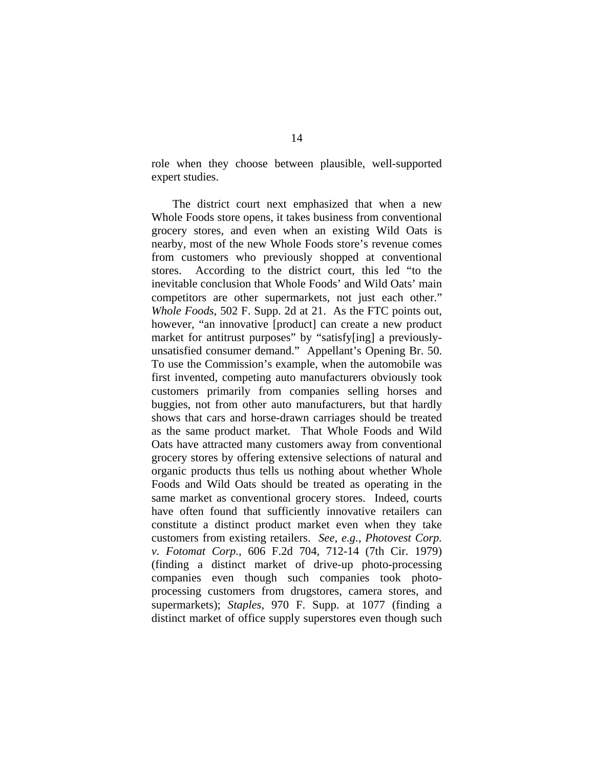role when they choose between plausible, well-supported expert studies.

The district court next emphasized that when a new Whole Foods store opens, it takes business from conventional grocery stores, and even when an existing Wild Oats is nearby, most of the new Whole Foods store's revenue comes from customers who previously shopped at conventional stores. According to the district court, this led "to the inevitable conclusion that Whole Foods' and Wild Oats' main competitors are other supermarkets, not just each other." *Whole Foods*, 502 F. Supp. 2d at 21. As the FTC points out, however, "an innovative [product] can create a new product market for antitrust purposes" by "satisfy[ing] a previouslyunsatisfied consumer demand." Appellant's Opening Br. 50. To use the Commission's example, when the automobile was first invented, competing auto manufacturers obviously took customers primarily from companies selling horses and buggies, not from other auto manufacturers, but that hardly shows that cars and horse-drawn carriages should be treated as the same product market. That Whole Foods and Wild Oats have attracted many customers away from conventional grocery stores by offering extensive selections of natural and organic products thus tells us nothing about whether Whole Foods and Wild Oats should be treated as operating in the same market as conventional grocery stores. Indeed, courts have often found that sufficiently innovative retailers can constitute a distinct product market even when they take customers from existing retailers. *See, e.g.*, *Photovest Corp. v. Fotomat Corp.*, 606 F.2d 704, 712-14 (7th Cir. 1979) (finding a distinct market of drive-up photo-processing companies even though such companies took photoprocessing customers from drugstores, camera stores, and supermarkets); *Staples*, 970 F. Supp. at 1077 (finding a distinct market of office supply superstores even though such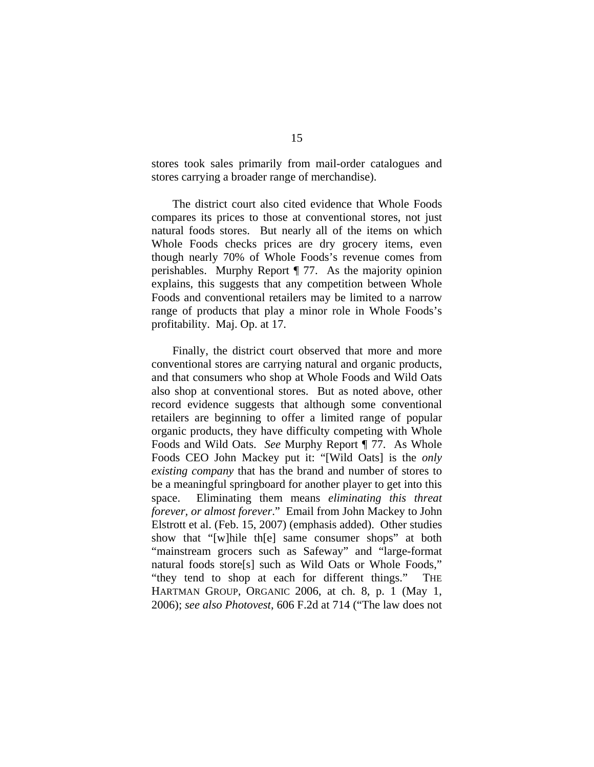stores took sales primarily from mail-order catalogues and stores carrying a broader range of merchandise).

The district court also cited evidence that Whole Foods compares its prices to those at conventional stores, not just natural foods stores. But nearly all of the items on which Whole Foods checks prices are dry grocery items, even though nearly 70% of Whole Foods's revenue comes from perishables. Murphy Report ¶ 77. As the majority opinion explains, this suggests that any competition between Whole Foods and conventional retailers may be limited to a narrow range of products that play a minor role in Whole Foods's profitability. Maj. Op. at 17.

Finally, the district court observed that more and more conventional stores are carrying natural and organic products, and that consumers who shop at Whole Foods and Wild Oats also shop at conventional stores. But as noted above, other record evidence suggests that although some conventional retailers are beginning to offer a limited range of popular organic products, they have difficulty competing with Whole Foods and Wild Oats. *See* Murphy Report ¶ 77. As Whole Foods CEO John Mackey put it: "[Wild Oats] is the *only existing company* that has the brand and number of stores to be a meaningful springboard for another player to get into this space. Eliminating them means *eliminating this threat forever, or almost forever*." Email from John Mackey to John Elstrott et al. (Feb. 15, 2007) (emphasis added). Other studies show that "[w]hile th[e] same consumer shops" at both "mainstream grocers such as Safeway" and "large-format natural foods store[s] such as Wild Oats or Whole Foods," "they tend to shop at each for different things." THE HARTMAN GROUP, ORGANIC 2006, at ch. 8, p. 1 (May 1, 2006); *see also Photovest*, 606 F.2d at 714 ("The law does not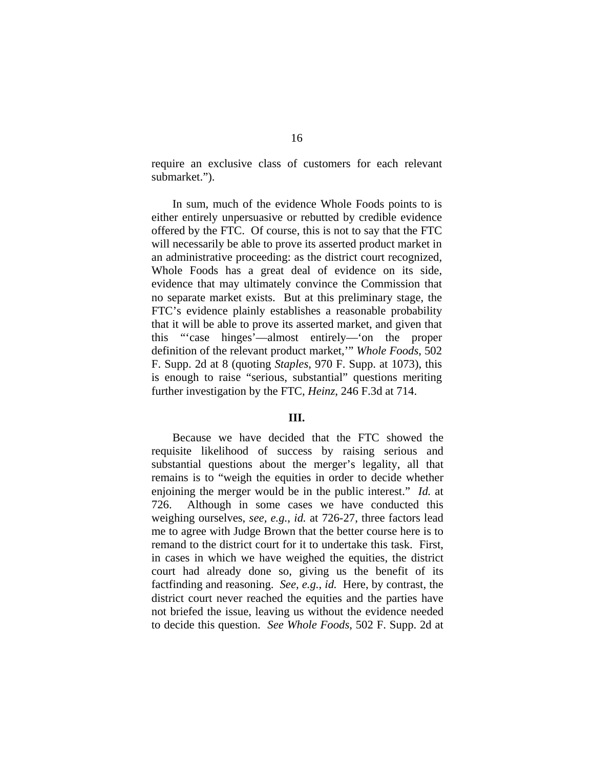require an exclusive class of customers for each relevant submarket.").

 In sum, much of the evidence Whole Foods points to is either entirely unpersuasive or rebutted by credible evidence offered by the FTC. Of course, this is not to say that the FTC will necessarily be able to prove its asserted product market in an administrative proceeding: as the district court recognized, Whole Foods has a great deal of evidence on its side, evidence that may ultimately convince the Commission that no separate market exists. But at this preliminary stage, the FTC's evidence plainly establishes a reasonable probability that it will be able to prove its asserted market, and given that this "'case hinges'—almost entirely—'on the proper definition of the relevant product market,'" *Whole Foods*, 502 F. Supp. 2d at 8 (quoting *Staples*, 970 F. Supp. at 1073), this is enough to raise "serious, substantial" questions meriting further investigation by the FTC, *Heinz*, 246 F.3d at 714.

#### **III.**

Because we have decided that the FTC showed the requisite likelihood of success by raising serious and substantial questions about the merger's legality, all that remains is to "weigh the equities in order to decide whether enjoining the merger would be in the public interest." *Id.* at 726. Although in some cases we have conducted this weighing ourselves, *see, e.g.*, *id.* at 726-27, three factors lead me to agree with Judge Brown that the better course here is to remand to the district court for it to undertake this task. First, in cases in which we have weighed the equities, the district court had already done so, giving us the benefit of its factfinding and reasoning. *See, e.g.*, *id.* Here, by contrast, the district court never reached the equities and the parties have not briefed the issue, leaving us without the evidence needed to decide this question. *See Whole Foods*, 502 F. Supp. 2d at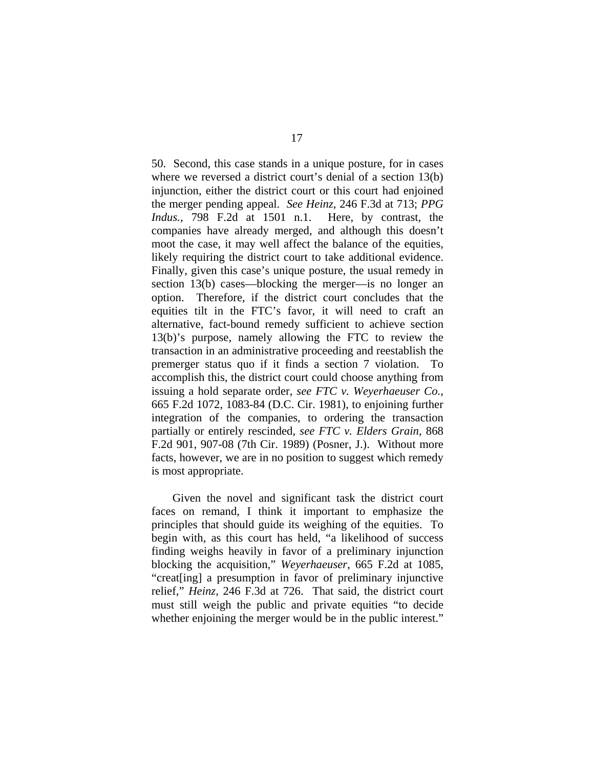50. Second, this case stands in a unique posture, for in cases where we reversed a district court's denial of a section 13(b) injunction, either the district court or this court had enjoined the merger pending appeal. *See Heinz*, 246 F.3d at 713; *PPG Indus.*, 798 F.2d at 1501 n.1. Here, by contrast, the companies have already merged, and although this doesn't moot the case, it may well affect the balance of the equities, likely requiring the district court to take additional evidence. Finally, given this case's unique posture, the usual remedy in section 13(b) cases—blocking the merger—is no longer an option. Therefore, if the district court concludes that the equities tilt in the FTC's favor, it will need to craft an alternative, fact-bound remedy sufficient to achieve section 13(b)'s purpose, namely allowing the FTC to review the transaction in an administrative proceeding and reestablish the premerger status quo if it finds a section 7 violation. To accomplish this, the district court could choose anything from issuing a hold separate order, *see FTC v. Weyerhaeuser Co.*, 665 F.2d 1072, 1083-84 (D.C. Cir. 1981), to enjoining further integration of the companies, to ordering the transaction partially or entirely rescinded, *see FTC v. Elders Grain*, 868 F.2d 901, 907-08 (7th Cir. 1989) (Posner, J.). Without more facts, however, we are in no position to suggest which remedy is most appropriate.

Given the novel and significant task the district court faces on remand, I think it important to emphasize the principles that should guide its weighing of the equities. To begin with, as this court has held, "a likelihood of success finding weighs heavily in favor of a preliminary injunction blocking the acquisition," *Weyerhaeuser*, 665 F.2d at 1085, "creat[ing] a presumption in favor of preliminary injunctive relief," *Heinz*, 246 F.3d at 726. That said, the district court must still weigh the public and private equities "to decide whether enjoining the merger would be in the public interest."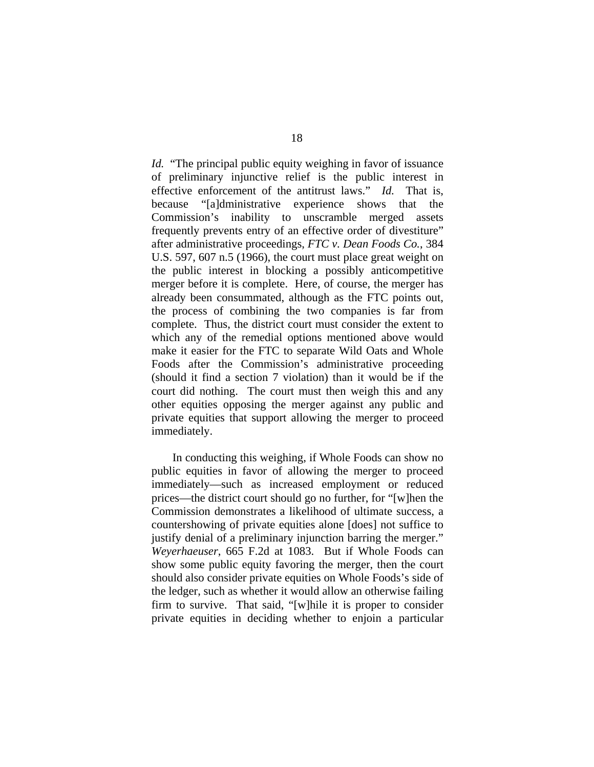*Id.* "The principal public equity weighing in favor of issuance of preliminary injunctive relief is the public interest in effective enforcement of the antitrust laws." *Id.* That is, because "[a]dministrative experience shows that the Commission's inability to unscramble merged assets frequently prevents entry of an effective order of divestiture" after administrative proceedings, *FTC v. Dean Foods Co.*, 384 U.S. 597, 607 n.5 (1966), the court must place great weight on the public interest in blocking a possibly anticompetitive merger before it is complete. Here, of course, the merger has already been consummated, although as the FTC points out, the process of combining the two companies is far from complete. Thus, the district court must consider the extent to which any of the remedial options mentioned above would make it easier for the FTC to separate Wild Oats and Whole Foods after the Commission's administrative proceeding (should it find a section 7 violation) than it would be if the court did nothing.The court must then weigh this and any other equities opposing the merger against any public and private equities that support allowing the merger to proceed immediately.

In conducting this weighing, if Whole Foods can show no public equities in favor of allowing the merger to proceed immediately—such as increased employment or reduced prices—the district court should go no further, for "[w]hen the Commission demonstrates a likelihood of ultimate success, a countershowing of private equities alone [does] not suffice to justify denial of a preliminary injunction barring the merger." *Weyerhaeuser*, 665 F.2d at 1083. But if Whole Foods can show some public equity favoring the merger, then the court should also consider private equities on Whole Foods's side of the ledger, such as whether it would allow an otherwise failing firm to survive. That said, "[w]hile it is proper to consider private equities in deciding whether to enjoin a particular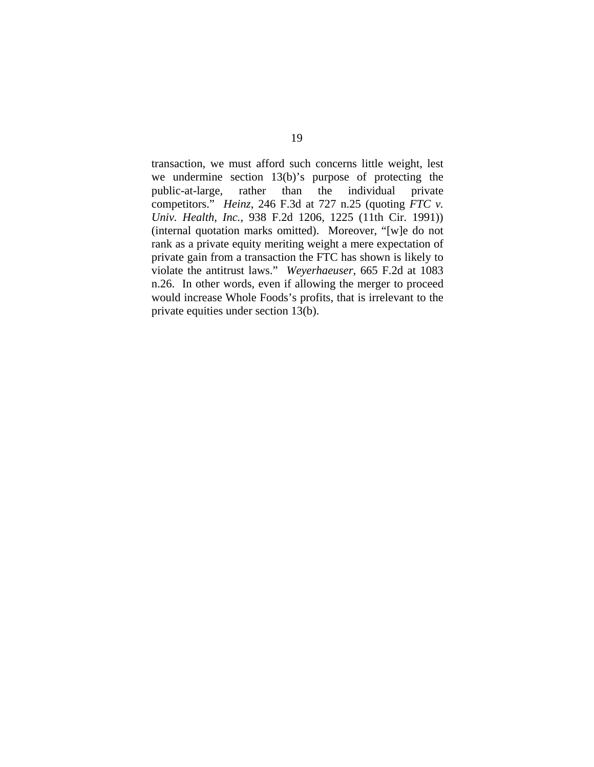transaction, we must afford such concerns little weight, lest we undermine section 13(b)'s purpose of protecting the public-at-large, rather than the individual private competitors." *Heinz*, 246 F.3d at 727 n.25 (quoting *FTC v. Univ. Health, Inc.*, 938 F.2d 1206, 1225 (11th Cir. 1991)) (internal quotation marks omitted). Moreover, "[w]e do not rank as a private equity meriting weight a mere expectation of private gain from a transaction the FTC has shown is likely to violate the antitrust laws." *Weyerhaeuser*, 665 F.2d at 1083 n.26. In other words, even if allowing the merger to proceed would increase Whole Foods's profits, that is irrelevant to the private equities under section 13(b).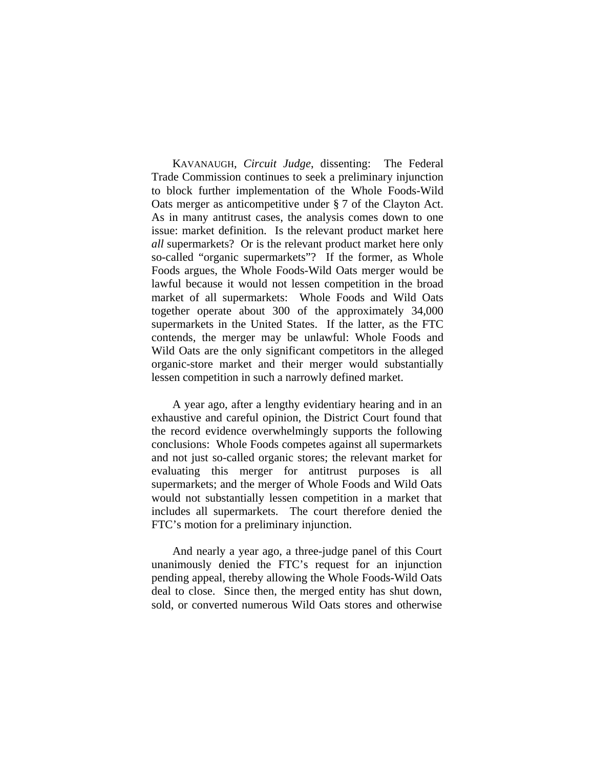KAVANAUGH, *Circuit Judge*, dissenting: The Federal Trade Commission continues to seek a preliminary injunction to block further implementation of the Whole Foods-Wild Oats merger as anticompetitive under § 7 of the Clayton Act. As in many antitrust cases, the analysis comes down to one issue: market definition. Is the relevant product market here *all* supermarkets? Or is the relevant product market here only so-called "organic supermarkets"? If the former, as Whole Foods argues, the Whole Foods-Wild Oats merger would be lawful because it would not lessen competition in the broad market of all supermarkets: Whole Foods and Wild Oats together operate about 300 of the approximately 34,000 supermarkets in the United States. If the latter, as the FTC contends, the merger may be unlawful: Whole Foods and Wild Oats are the only significant competitors in the alleged organic-store market and their merger would substantially lessen competition in such a narrowly defined market.

A year ago, after a lengthy evidentiary hearing and in an exhaustive and careful opinion, the District Court found that the record evidence overwhelmingly supports the following conclusions: Whole Foods competes against all supermarkets and not just so-called organic stores; the relevant market for evaluating this merger for antitrust purposes is all supermarkets; and the merger of Whole Foods and Wild Oats would not substantially lessen competition in a market that includes all supermarkets. The court therefore denied the FTC's motion for a preliminary injunction.

And nearly a year ago, a three-judge panel of this Court unanimously denied the FTC's request for an injunction pending appeal, thereby allowing the Whole Foods-Wild Oats deal to close. Since then, the merged entity has shut down, sold, or converted numerous Wild Oats stores and otherwise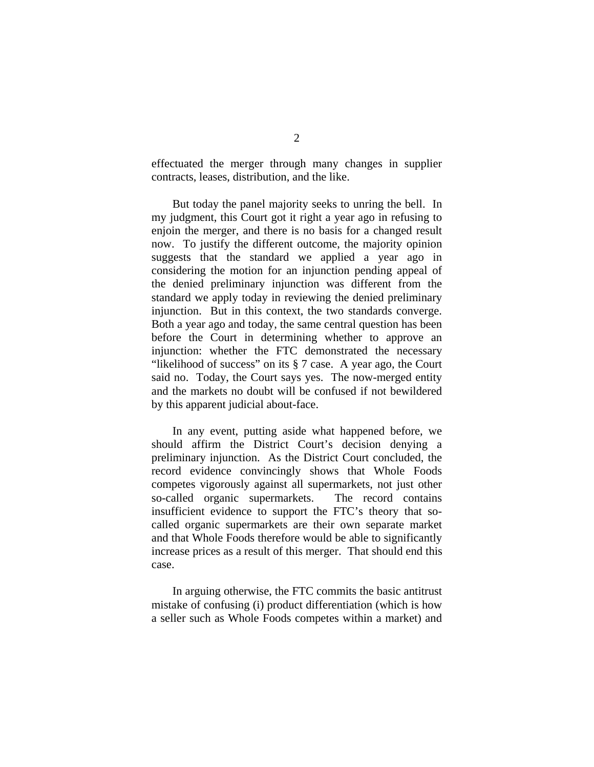effectuated the merger through many changes in supplier contracts, leases, distribution, and the like.

But today the panel majority seeks to unring the bell. In my judgment, this Court got it right a year ago in refusing to enjoin the merger, and there is no basis for a changed result now. To justify the different outcome, the majority opinion suggests that the standard we applied a year ago in considering the motion for an injunction pending appeal of the denied preliminary injunction was different from the standard we apply today in reviewing the denied preliminary injunction. But in this context, the two standards converge. Both a year ago and today, the same central question has been before the Court in determining whether to approve an injunction: whether the FTC demonstrated the necessary "likelihood of success" on its § 7 case. A year ago, the Court said no. Today, the Court says yes. The now-merged entity and the markets no doubt will be confused if not bewildered by this apparent judicial about-face.

In any event, putting aside what happened before, we should affirm the District Court's decision denying a preliminary injunction. As the District Court concluded, the record evidence convincingly shows that Whole Foods competes vigorously against all supermarkets, not just other so-called organic supermarkets. The record contains insufficient evidence to support the FTC's theory that socalled organic supermarkets are their own separate market and that Whole Foods therefore would be able to significantly increase prices as a result of this merger. That should end this case.

In arguing otherwise, the FTC commits the basic antitrust mistake of confusing (i) product differentiation (which is how a seller such as Whole Foods competes within a market) and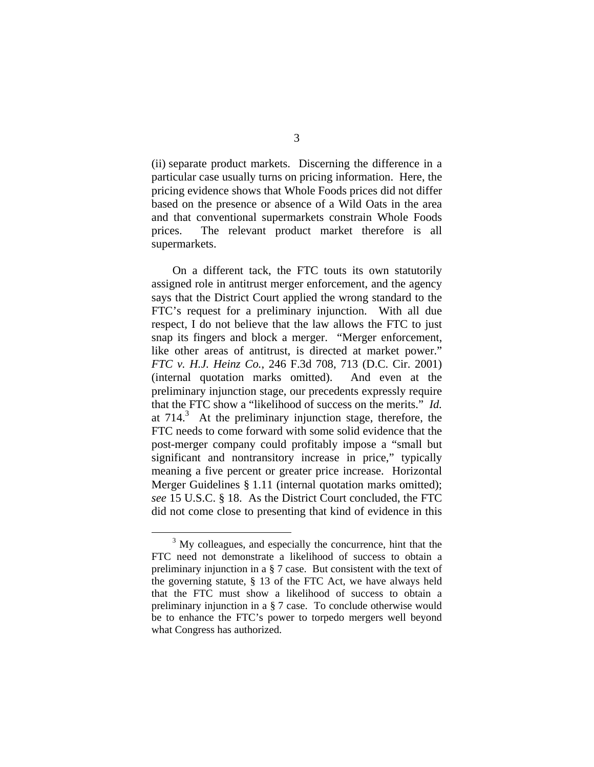(ii) separate product markets. Discerning the difference in a particular case usually turns on pricing information. Here, the pricing evidence shows that Whole Foods prices did not differ based on the presence or absence of a Wild Oats in the area and that conventional supermarkets constrain Whole Foods prices. The relevant product market therefore is all supermarkets.

On a different tack, the FTC touts its own statutorily assigned role in antitrust merger enforcement, and the agency says that the District Court applied the wrong standard to the FTC's request for a preliminary injunction. With all due respect, I do not believe that the law allows the FTC to just snap its fingers and block a merger. "Merger enforcement, like other areas of antitrust, is directed at market power." *FTC v. H.J. Heinz Co.*, 246 F.3d 708, 713 (D.C. Cir. 2001) (internal quotation marks omitted). And even at the preliminary injunction stage, our precedents expressly require that the FTC show a "likelihood of success on the merits." *Id.* at  $714$ <sup>3</sup>. At the preliminary injunction stage, therefore, the FTC needs to come forward with some solid evidence that the post-merger company could profitably impose a "small but significant and nontransitory increase in price," typically meaning a five percent or greater price increase. Horizontal Merger Guidelines § 1.11 (internal quotation marks omitted); *see* 15 U.S.C. § 18. As the District Court concluded, the FTC did not come close to presenting that kind of evidence in this

 <sup>3</sup> <sup>3</sup> My colleagues, and especially the concurrence, hint that the FTC need not demonstrate a likelihood of success to obtain a preliminary injunction in a § 7 case. But consistent with the text of the governing statute, § 13 of the FTC Act, we have always held that the FTC must show a likelihood of success to obtain a preliminary injunction in a § 7 case. To conclude otherwise would be to enhance the FTC's power to torpedo mergers well beyond what Congress has authorized.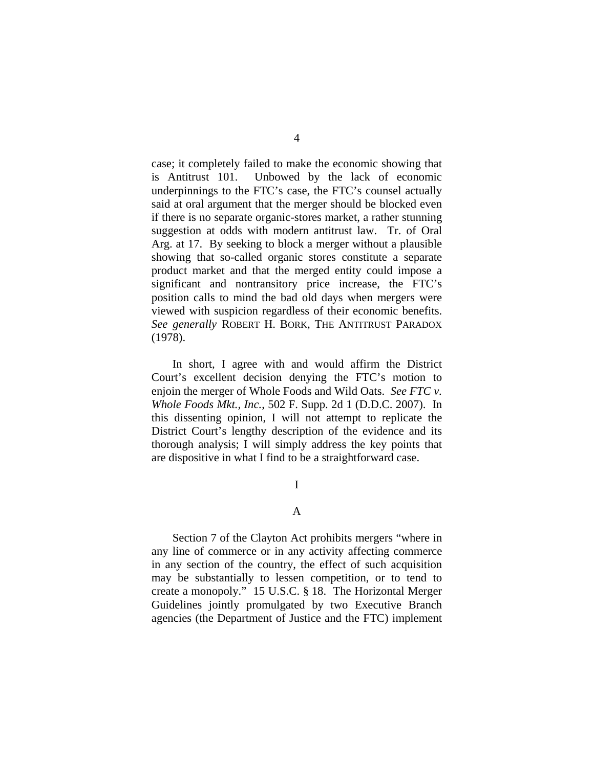case; it completely failed to make the economic showing that is Antitrust 101. Unbowed by the lack of economic underpinnings to the FTC's case, the FTC's counsel actually said at oral argument that the merger should be blocked even if there is no separate organic-stores market, a rather stunning suggestion at odds with modern antitrust law. Tr. of Oral Arg. at 17. By seeking to block a merger without a plausible showing that so-called organic stores constitute a separate product market and that the merged entity could impose a significant and nontransitory price increase, the FTC's position calls to mind the bad old days when mergers were viewed with suspicion regardless of their economic benefits. *See generally* ROBERT H. BORK, THE ANTITRUST PARADOX (1978).

In short, I agree with and would affirm the District Court's excellent decision denying the FTC's motion to enjoin the merger of Whole Foods and Wild Oats. *See FTC v. Whole Foods Mkt., Inc.*, 502 F. Supp. 2d 1 (D.D.C. 2007). In this dissenting opinion, I will not attempt to replicate the District Court's lengthy description of the evidence and its thorough analysis; I will simply address the key points that are dispositive in what I find to be a straightforward case.

#### I

#### A

Section 7 of the Clayton Act prohibits mergers "where in any line of commerce or in any activity affecting commerce in any section of the country, the effect of such acquisition may be substantially to lessen competition, or to tend to create a monopoly." 15 U.S.C. § 18. The Horizontal Merger Guidelines jointly promulgated by two Executive Branch agencies (the Department of Justice and the FTC) implement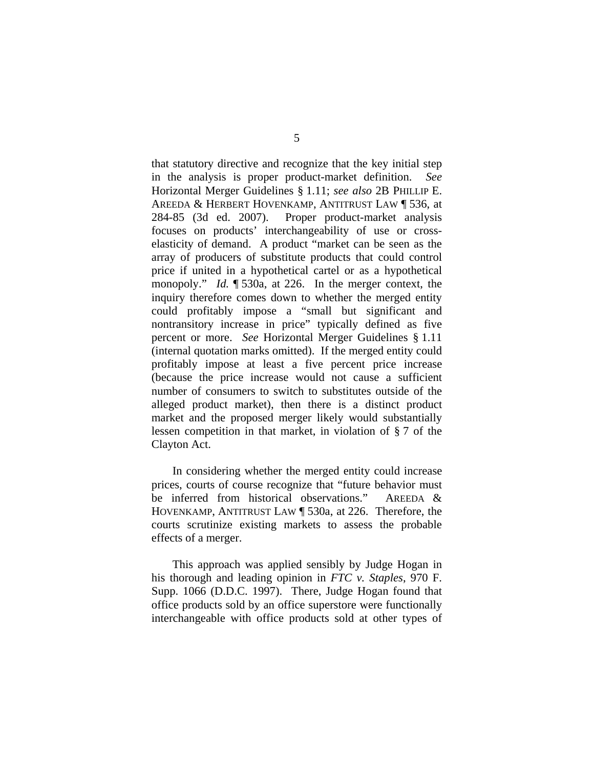that statutory directive and recognize that the key initial step in the analysis is proper product-market definition. *See* Horizontal Merger Guidelines § 1.11; *see also* 2B PHILLIP E. AREEDA & HERBERT HOVENKAMP, ANTITRUST LAW ¶ 536, at 284-85 (3d ed. 2007). Proper product-market analysis focuses on products' interchangeability of use or crosselasticity of demand. A product "market can be seen as the array of producers of substitute products that could control price if united in a hypothetical cartel or as a hypothetical monopoly." *Id.* ¶ 530a, at 226. In the merger context, the inquiry therefore comes down to whether the merged entity could profitably impose a "small but significant and nontransitory increase in price" typically defined as five percent or more. *See* Horizontal Merger Guidelines § 1.11 (internal quotation marks omitted). If the merged entity could profitably impose at least a five percent price increase (because the price increase would not cause a sufficient number of consumers to switch to substitutes outside of the alleged product market), then there is a distinct product market and the proposed merger likely would substantially lessen competition in that market, in violation of § 7 of the Clayton Act.

In considering whether the merged entity could increase prices, courts of course recognize that "future behavior must be inferred from historical observations." AREEDA & HOVENKAMP, ANTITRUST LAW ¶ 530a, at 226. Therefore, the courts scrutinize existing markets to assess the probable effects of a merger.

This approach was applied sensibly by Judge Hogan in his thorough and leading opinion in *FTC v. Staples*, 970 F. Supp. 1066 (D.D.C. 1997). There, Judge Hogan found that office products sold by an office superstore were functionally interchangeable with office products sold at other types of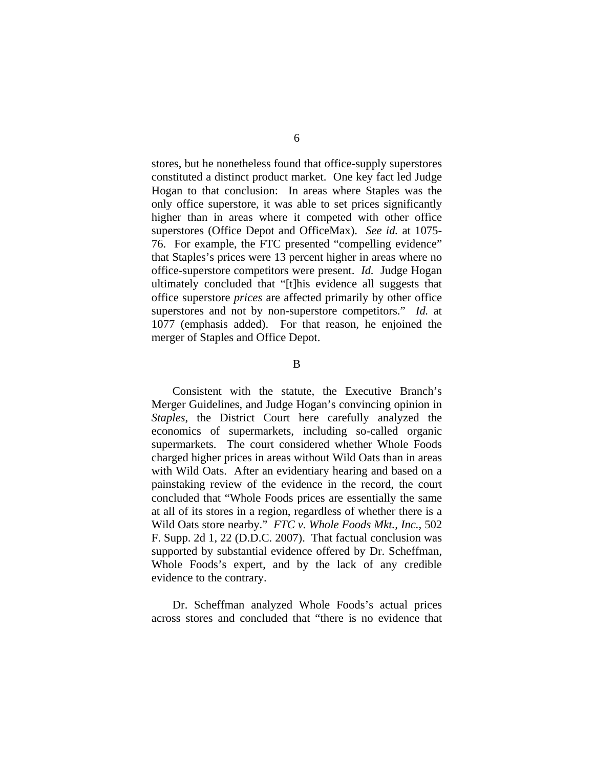stores, but he nonetheless found that office-supply superstores constituted a distinct product market. One key fact led Judge Hogan to that conclusion: In areas where Staples was the only office superstore, it was able to set prices significantly higher than in areas where it competed with other office superstores (Office Depot and OfficeMax). *See id.* at 1075- 76. For example, the FTC presented "compelling evidence" that Staples's prices were 13 percent higher in areas where no office-superstore competitors were present. *Id.* Judge Hogan ultimately concluded that "[t]his evidence all suggests that office superstore *prices* are affected primarily by other office superstores and not by non-superstore competitors." *Id.* at 1077 (emphasis added). For that reason, he enjoined the merger of Staples and Office Depot.

B

 Consistent with the statute, the Executive Branch's Merger Guidelines, and Judge Hogan's convincing opinion in *Staples*, the District Court here carefully analyzed the economics of supermarkets, including so-called organic supermarkets. The court considered whether Whole Foods charged higher prices in areas without Wild Oats than in areas with Wild Oats. After an evidentiary hearing and based on a painstaking review of the evidence in the record, the court concluded that "Whole Foods prices are essentially the same at all of its stores in a region, regardless of whether there is a Wild Oats store nearby." *FTC v. Whole Foods Mkt., Inc.*, 502 F. Supp. 2d 1, 22 (D.D.C. 2007). That factual conclusion was supported by substantial evidence offered by Dr. Scheffman, Whole Foods's expert, and by the lack of any credible evidence to the contrary.

Dr. Scheffman analyzed Whole Foods's actual prices across stores and concluded that "there is no evidence that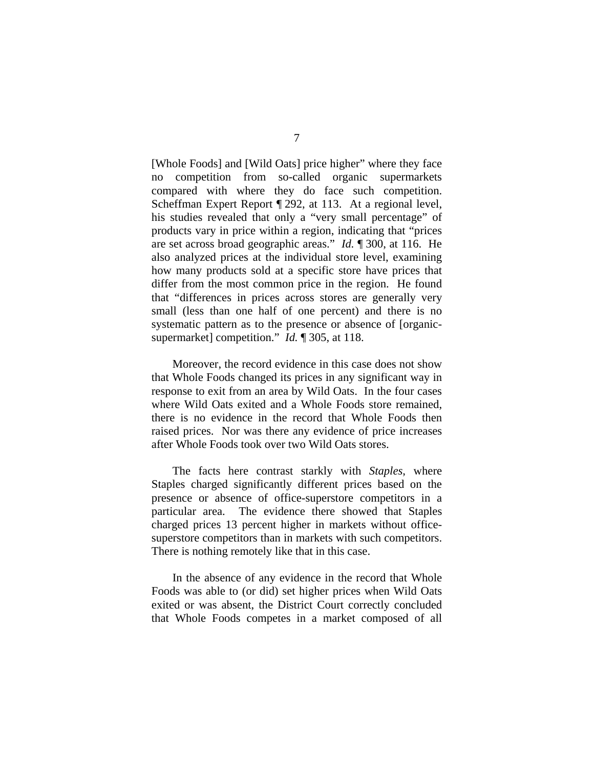[Whole Foods] and [Wild Oats] price higher" where they face no competition from so-called organic supermarkets compared with where they do face such competition. Scheffman Expert Report ¶ 292, at 113. At a regional level, his studies revealed that only a "very small percentage" of products vary in price within a region, indicating that "prices are set across broad geographic areas." *Id.* ¶ 300, at 116. He also analyzed prices at the individual store level, examining how many products sold at a specific store have prices that differ from the most common price in the region. He found that "differences in prices across stores are generally very small (less than one half of one percent) and there is no systematic pattern as to the presence or absence of [organicsupermarket] competition." *Id.* ¶ 305, at 118.

Moreover, the record evidence in this case does not show that Whole Foods changed its prices in any significant way in response to exit from an area by Wild Oats. In the four cases where Wild Oats exited and a Whole Foods store remained, there is no evidence in the record that Whole Foods then raised prices. Nor was there any evidence of price increases after Whole Foods took over two Wild Oats stores.

The facts here contrast starkly with *Staples*, where Staples charged significantly different prices based on the presence or absence of office-superstore competitors in a particular area. The evidence there showed that Staples charged prices 13 percent higher in markets without officesuperstore competitors than in markets with such competitors. There is nothing remotely like that in this case.

In the absence of any evidence in the record that Whole Foods was able to (or did) set higher prices when Wild Oats exited or was absent, the District Court correctly concluded that Whole Foods competes in a market composed of all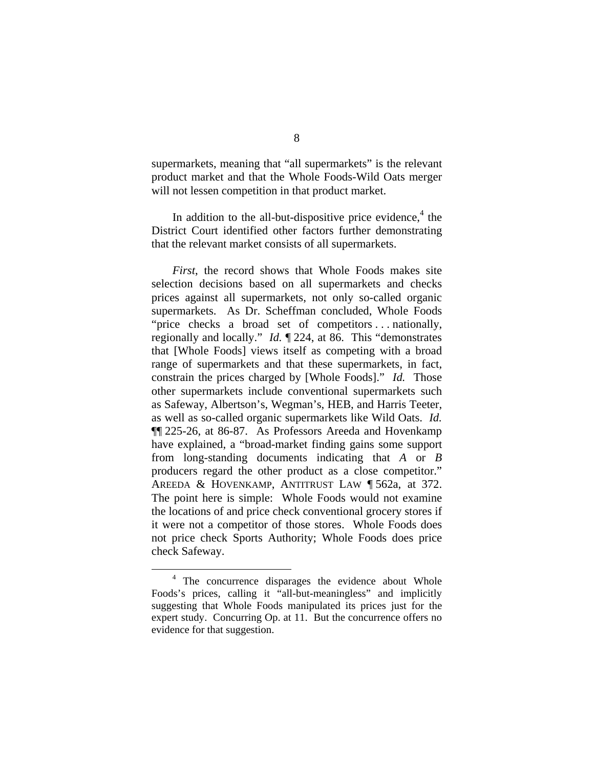supermarkets, meaning that "all supermarkets" is the relevant product market and that the Whole Foods-Wild Oats merger will not lessen competition in that product market.

In addition to the all-but-dispositive price evidence,  $4$  the District Court identified other factors further demonstrating that the relevant market consists of all supermarkets.

*First*, the record shows that Whole Foods makes site selection decisions based on all supermarkets and checks prices against all supermarkets, not only so-called organic supermarkets. As Dr. Scheffman concluded, Whole Foods "price checks a broad set of competitors . . . nationally, regionally and locally." *Id.* ¶ 224, at 86. This "demonstrates that [Whole Foods] views itself as competing with a broad range of supermarkets and that these supermarkets, in fact, constrain the prices charged by [Whole Foods]." *Id.* Those other supermarkets include conventional supermarkets such as Safeway, Albertson's, Wegman's, HEB, and Harris Teeter, as well as so-called organic supermarkets like Wild Oats. *Id.* ¶¶ 225-26, at 86-87. As Professors Areeda and Hovenkamp have explained, a "broad-market finding gains some support from long-standing documents indicating that *A* or *B* producers regard the other product as a close competitor." AREEDA & HOVENKAMP, ANTITRUST LAW ¶ 562a, at 372. The point here is simple: Whole Foods would not examine the locations of and price check conventional grocery stores if it were not a competitor of those stores. Whole Foods does not price check Sports Authority; Whole Foods does price check Safeway.

 <sup>4</sup> <sup>4</sup> The concurrence disparages the evidence about Whole Foods's prices, calling it "all-but-meaningless" and implicitly suggesting that Whole Foods manipulated its prices just for the expert study. Concurring Op. at 11. But the concurrence offers no evidence for that suggestion.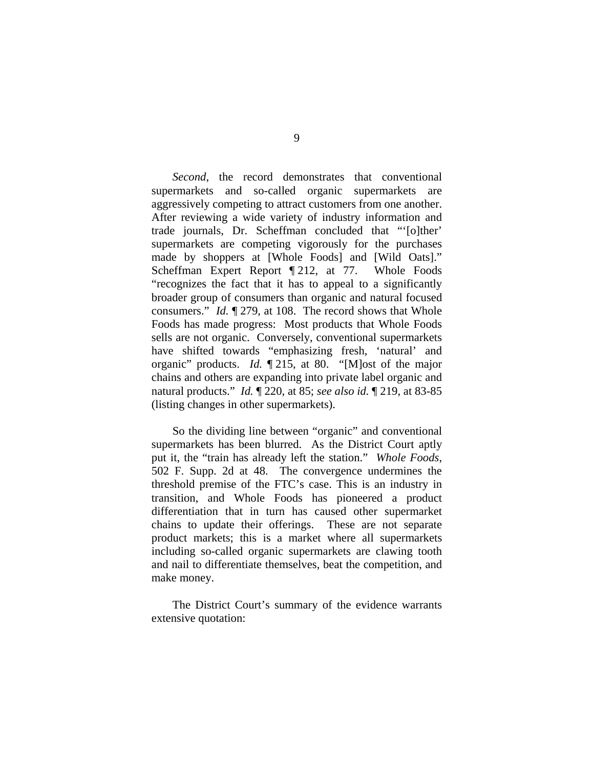*Second*, the record demonstrates that conventional supermarkets and so-called organic supermarkets are aggressively competing to attract customers from one another. After reviewing a wide variety of industry information and trade journals, Dr. Scheffman concluded that "'[o]ther' supermarkets are competing vigorously for the purchases made by shoppers at [Whole Foods] and [Wild Oats]." Scheffman Expert Report ¶ 212, at 77. Whole Foods "recognizes the fact that it has to appeal to a significantly broader group of consumers than organic and natural focused consumers." *Id.* ¶ 279, at 108. The record shows that Whole Foods has made progress: Most products that Whole Foods sells are not organic. Conversely, conventional supermarkets have shifted towards "emphasizing fresh, 'natural' and organic" products. *Id.* ¶ 215, at 80. "[M]ost of the major chains and others are expanding into private label organic and natural products." *Id.* ¶ 220, at 85; *see also id.* ¶ 219, at 83-85 (listing changes in other supermarkets).

So the dividing line between "organic" and conventional supermarkets has been blurred. As the District Court aptly put it, the "train has already left the station." *Whole Foods*, 502 F. Supp. 2d at 48. The convergence undermines the threshold premise of the FTC's case. This is an industry in transition, and Whole Foods has pioneered a product differentiation that in turn has caused other supermarket chains to update their offerings. These are not separate product markets; this is a market where all supermarkets including so-called organic supermarkets are clawing tooth and nail to differentiate themselves, beat the competition, and make money.

The District Court's summary of the evidence warrants extensive quotation: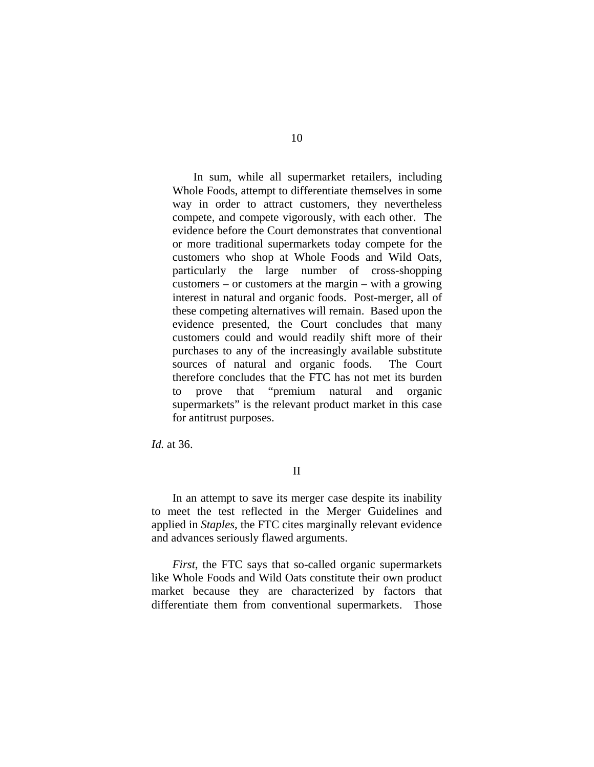In sum, while all supermarket retailers, including Whole Foods, attempt to differentiate themselves in some way in order to attract customers, they nevertheless compete, and compete vigorously, with each other. The evidence before the Court demonstrates that conventional or more traditional supermarkets today compete for the customers who shop at Whole Foods and Wild Oats, particularly the large number of cross-shopping customers – or customers at the margin – with a growing interest in natural and organic foods. Post-merger, all of these competing alternatives will remain. Based upon the evidence presented, the Court concludes that many customers could and would readily shift more of their purchases to any of the increasingly available substitute sources of natural and organic foods. The Court therefore concludes that the FTC has not met its burden to prove that "premium natural and organic supermarkets" is the relevant product market in this case for antitrust purposes.

*Id.* at 36.

### II

 In an attempt to save its merger case despite its inability to meet the test reflected in the Merger Guidelines and applied in *Staples*, the FTC cites marginally relevant evidence and advances seriously flawed arguments.

*First*, the FTC says that so-called organic supermarkets like Whole Foods and Wild Oats constitute their own product market because they are characterized by factors that differentiate them from conventional supermarkets. Those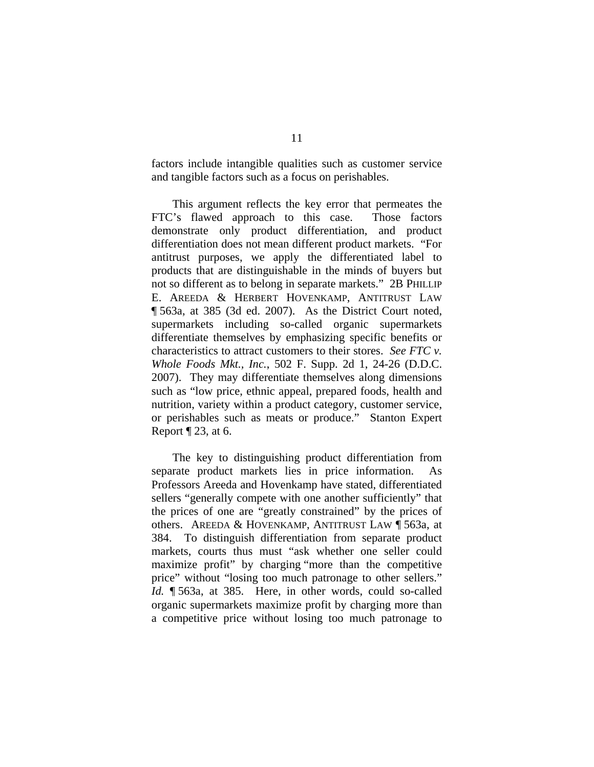factors include intangible qualities such as customer service and tangible factors such as a focus on perishables.

This argument reflects the key error that permeates the FTC's flawed approach to this case. Those factors demonstrate only product differentiation, and product differentiation does not mean different product markets. "For antitrust purposes, we apply the differentiated label to products that are distinguishable in the minds of buyers but not so different as to belong in separate markets." 2B PHILLIP E. AREEDA & HERBERT HOVENKAMP, ANTITRUST LAW ¶ 563a, at 385 (3d ed. 2007). As the District Court noted, supermarkets including so-called organic supermarkets differentiate themselves by emphasizing specific benefits or characteristics to attract customers to their stores. *See FTC v. Whole Foods Mkt., Inc.*, 502 F. Supp. 2d 1, 24-26 (D.D.C. 2007). They may differentiate themselves along dimensions such as "low price, ethnic appeal, prepared foods, health and nutrition, variety within a product category, customer service, or perishables such as meats or produce." Stanton Expert Report  $\P$  23, at 6.

The key to distinguishing product differentiation from separate product markets lies in price information. As Professors Areeda and Hovenkamp have stated, differentiated sellers "generally compete with one another sufficiently" that the prices of one are "greatly constrained" by the prices of others. AREEDA & HOVENKAMP, ANTITRUST LAW ¶ 563a, at 384. To distinguish differentiation from separate product markets, courts thus must "ask whether one seller could maximize profit" by charging "more than the competitive price" without "losing too much patronage to other sellers." *Id.* ¶ 563a, at 385.Here, in other words, could so-called organic supermarkets maximize profit by charging more than a competitive price without losing too much patronage to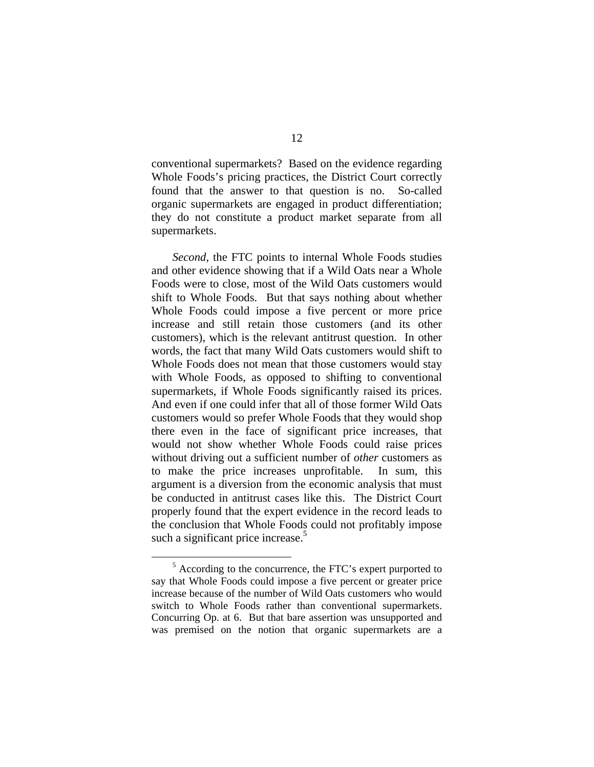conventional supermarkets? Based on the evidence regarding Whole Foods's pricing practices, the District Court correctly found that the answer to that question is no. So-called organic supermarkets are engaged in product differentiation; they do not constitute a product market separate from all supermarkets.

*Second*, the FTC points to internal Whole Foods studies and other evidence showing that if a Wild Oats near a Whole Foods were to close, most of the Wild Oats customers would shift to Whole Foods. But that says nothing about whether Whole Foods could impose a five percent or more price increase and still retain those customers (and its other customers), which is the relevant antitrust question. In other words, the fact that many Wild Oats customers would shift to Whole Foods does not mean that those customers would stay with Whole Foods, as opposed to shifting to conventional supermarkets, if Whole Foods significantly raised its prices. And even if one could infer that all of those former Wild Oats customers would so prefer Whole Foods that they would shop there even in the face of significant price increases, that would not show whether Whole Foods could raise prices without driving out a sufficient number of *other* customers as to make the price increases unprofitable. In sum, this argument is a diversion from the economic analysis that must be conducted in antitrust cases like this. The District Court properly found that the expert evidence in the record leads to the conclusion that Whole Foods could not profitably impose such a significant price increase.<sup>5</sup>

 $rac{1}{5}$  $5$  According to the concurrence, the FTC's expert purported to say that Whole Foods could impose a five percent or greater price increase because of the number of Wild Oats customers who would switch to Whole Foods rather than conventional supermarkets. Concurring Op. at 6. But that bare assertion was unsupported and was premised on the notion that organic supermarkets are a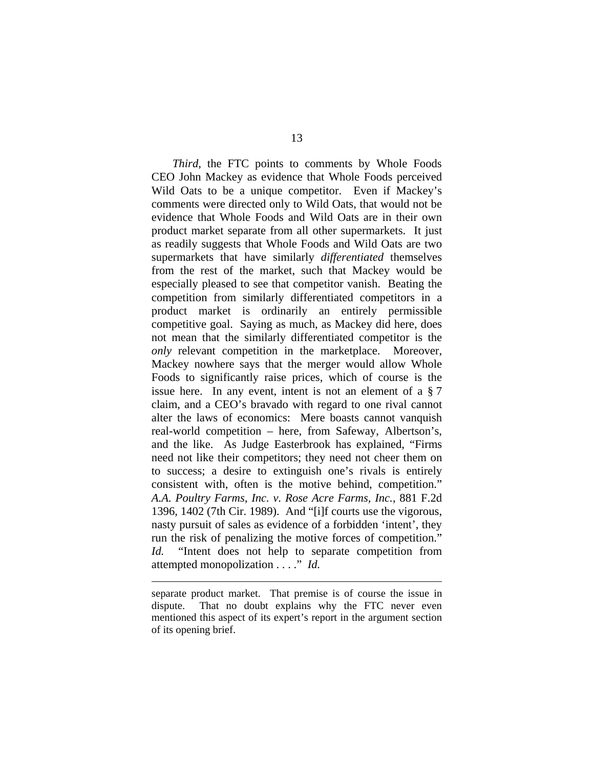*Third*, the FTC points to comments by Whole Foods CEO John Mackey as evidence that Whole Foods perceived Wild Oats to be a unique competitor. Even if Mackey's comments were directed only to Wild Oats, that would not be evidence that Whole Foods and Wild Oats are in their own product market separate from all other supermarkets. It just as readily suggests that Whole Foods and Wild Oats are two supermarkets that have similarly *differentiated* themselves from the rest of the market, such that Mackey would be especially pleased to see that competitor vanish. Beating the competition from similarly differentiated competitors in a product market is ordinarily an entirely permissible competitive goal. Saying as much, as Mackey did here, does not mean that the similarly differentiated competitor is the *only* relevant competition in the marketplace. Moreover, Mackey nowhere says that the merger would allow Whole Foods to significantly raise prices, which of course is the issue here. In any event, intent is not an element of a § 7 claim, and a CEO's bravado with regard to one rival cannot alter the laws of economics: Mere boasts cannot vanquish real-world competition – here, from Safeway, Albertson's, and the like. As Judge Easterbrook has explained, "Firms need not like their competitors; they need not cheer them on to success; a desire to extinguish one's rivals is entirely consistent with, often is the motive behind, competition." *A.A. Poultry Farms, Inc. v. Rose Acre Farms, Inc.*, 881 F.2d 1396, 1402 (7th Cir. 1989). And "[i]f courts use the vigorous, nasty pursuit of sales as evidence of a forbidden 'intent', they run the risk of penalizing the motive forces of competition." *Id.* "Intent does not help to separate competition from attempted monopolization . . . ." *Id.* 

<u>.</u>

separate product market. That premise is of course the issue in dispute. That no doubt explains why the FTC never even mentioned this aspect of its expert's report in the argument section of its opening brief.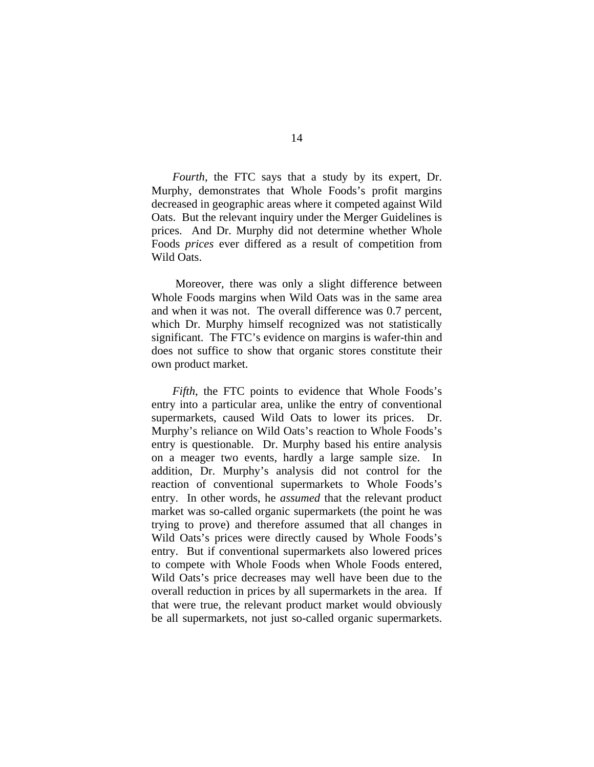*Fourth*, the FTC says that a study by its expert, Dr. Murphy, demonstrates that Whole Foods's profit margins decreased in geographic areas where it competed against Wild Oats. But the relevant inquiry under the Merger Guidelines is prices. And Dr. Murphy did not determine whether Whole Foods *prices* ever differed as a result of competition from Wild Oats.

 Moreover, there was only a slight difference between Whole Foods margins when Wild Oats was in the same area and when it was not. The overall difference was 0.7 percent, which Dr. Murphy himself recognized was not statistically significant. The FTC's evidence on margins is wafer-thin and does not suffice to show that organic stores constitute their own product market.

*Fifth*, the FTC points to evidence that Whole Foods's entry into a particular area, unlike the entry of conventional supermarkets, caused Wild Oats to lower its prices. Dr. Murphy's reliance on Wild Oats's reaction to Whole Foods's entry is questionable. Dr. Murphy based his entire analysis on a meager two events, hardly a large sample size. In addition, Dr. Murphy's analysis did not control for the reaction of conventional supermarkets to Whole Foods's entry. In other words, he *assumed* that the relevant product market was so-called organic supermarkets (the point he was trying to prove) and therefore assumed that all changes in Wild Oats's prices were directly caused by Whole Foods's entry. But if conventional supermarkets also lowered prices to compete with Whole Foods when Whole Foods entered, Wild Oats's price decreases may well have been due to the overall reduction in prices by all supermarkets in the area. If that were true, the relevant product market would obviously be all supermarkets, not just so-called organic supermarkets.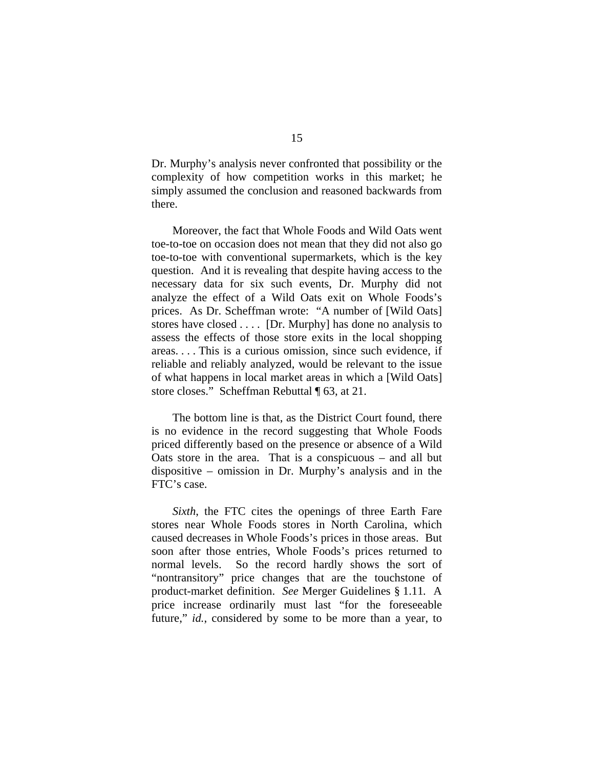Dr. Murphy's analysis never confronted that possibility or the complexity of how competition works in this market; he simply assumed the conclusion and reasoned backwards from there.

Moreover, the fact that Whole Foods and Wild Oats went toe-to-toe on occasion does not mean that they did not also go toe-to-toe with conventional supermarkets, which is the key question. And it is revealing that despite having access to the necessary data for six such events, Dr. Murphy did not analyze the effect of a Wild Oats exit on Whole Foods's prices. As Dr. Scheffman wrote: "A number of [Wild Oats] stores have closed . . . . [Dr. Murphy] has done no analysis to assess the effects of those store exits in the local shopping areas. . . . This is a curious omission, since such evidence, if reliable and reliably analyzed, would be relevant to the issue of what happens in local market areas in which a [Wild Oats] store closes." Scheffman Rebuttal ¶ 63, at 21.

The bottom line is that, as the District Court found, there is no evidence in the record suggesting that Whole Foods priced differently based on the presence or absence of a Wild Oats store in the area. That is a conspicuous – and all but dispositive – omission in Dr. Murphy's analysis and in the FTC's case.

*Sixth*, the FTC cites the openings of three Earth Fare stores near Whole Foods stores in North Carolina, which caused decreases in Whole Foods's prices in those areas. But soon after those entries, Whole Foods's prices returned to normal levels. So the record hardly shows the sort of "nontransitory" price changes that are the touchstone of product-market definition. *See* Merger Guidelines § 1.11*.* A price increase ordinarily must last "for the foreseeable future," *id.*, considered by some to be more than a year, to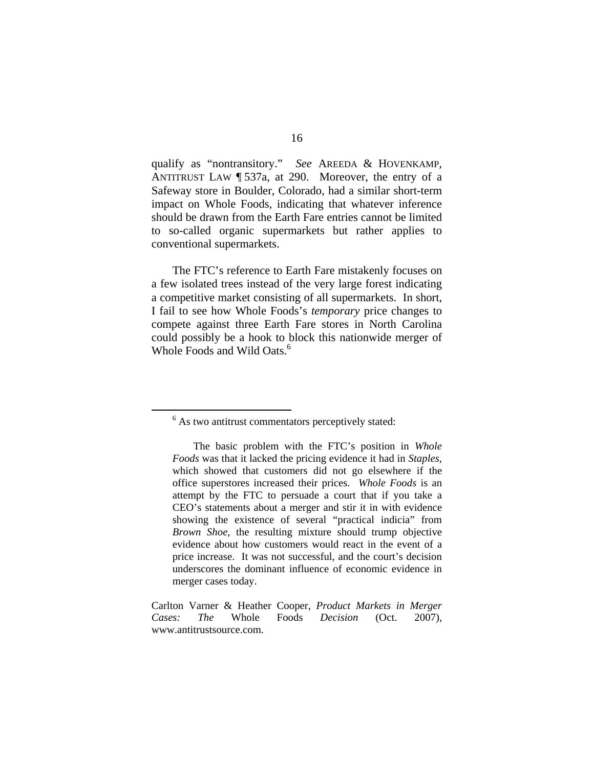qualify as "nontransitory." *See* AREEDA & HOVENKAMP, ANTITRUST LAW ¶ 537a, at 290. Moreover, the entry of a Safeway store in Boulder, Colorado, had a similar short-term impact on Whole Foods, indicating that whatever inference should be drawn from the Earth Fare entries cannot be limited to so-called organic supermarkets but rather applies to conventional supermarkets.

The FTC's reference to Earth Fare mistakenly focuses on a few isolated trees instead of the very large forest indicating a competitive market consisting of all supermarkets. In short, I fail to see how Whole Foods's *temporary* price changes to compete against three Earth Fare stores in North Carolina could possibly be a hook to block this nationwide merger of Whole Foods and Wild Oats.<sup>6</sup>

 <sup>6</sup>  $<sup>6</sup>$  As two antitrust commentators perceptively stated:</sup>

The basic problem with the FTC's position in *Whole Foods* was that it lacked the pricing evidence it had in *Staples*, which showed that customers did not go elsewhere if the office superstores increased their prices. *Whole Foods* is an attempt by the FTC to persuade a court that if you take a CEO's statements about a merger and stir it in with evidence showing the existence of several "practical indicia" from *Brown Shoe*, the resulting mixture should trump objective evidence about how customers would react in the event of a price increase. It was not successful, and the court's decision underscores the dominant influence of economic evidence in merger cases today.

Carlton Varner & Heather Cooper, *Product Markets in Merger Cases: The* Whole Foods *Decision* (Oct. 2007), www.antitrustsource.com.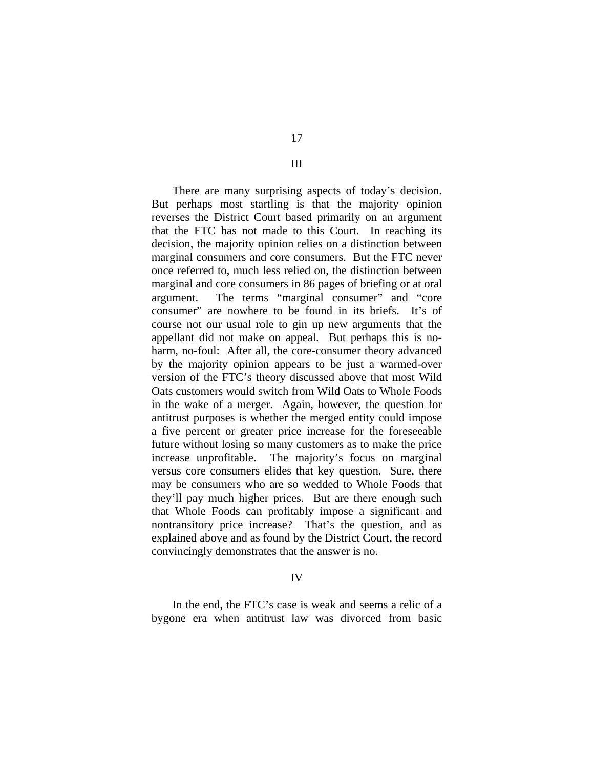There are many surprising aspects of today's decision. But perhaps most startling is that the majority opinion reverses the District Court based primarily on an argument that the FTC has not made to this Court. In reaching its decision, the majority opinion relies on a distinction between marginal consumers and core consumers. But the FTC never once referred to, much less relied on, the distinction between marginal and core consumers in 86 pages of briefing or at oral argument. The terms "marginal consumer" and "core consumer" are nowhere to be found in its briefs. It's of course not our usual role to gin up new arguments that the appellant did not make on appeal. But perhaps this is noharm, no-foul: After all, the core-consumer theory advanced by the majority opinion appears to be just a warmed-over version of the FTC's theory discussed above that most Wild Oats customers would switch from Wild Oats to Whole Foods in the wake of a merger. Again, however, the question for antitrust purposes is whether the merged entity could impose a five percent or greater price increase for the foreseeable future without losing so many customers as to make the price increase unprofitable. The majority's focus on marginal versus core consumers elides that key question. Sure, there may be consumers who are so wedded to Whole Foods that they'll pay much higher prices. But are there enough such that Whole Foods can profitably impose a significant and nontransitory price increase? That's the question, and as explained above and as found by the District Court, the record convincingly demonstrates that the answer is no.

#### IV

 In the end, the FTC's case is weak and seems a relic of a bygone era when antitrust law was divorced from basic

III